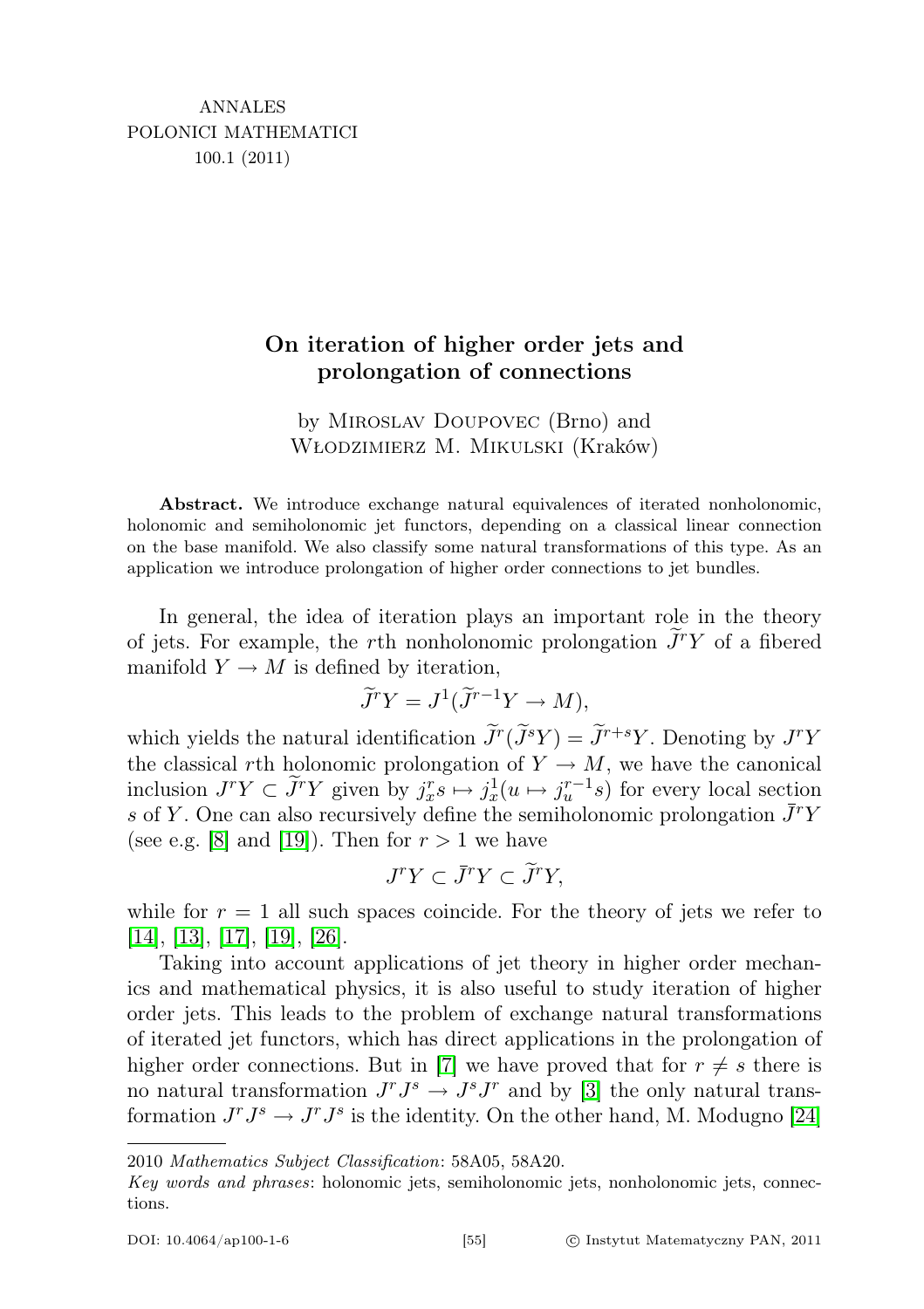## On iteration of higher order jets and prolongation of connections

by Miroslav Doupovec (Brno) and Włodzimierz M. Mikulski (Kraków)

Abstract. We introduce exchange natural equivalences of iterated nonholonomic, holonomic and semiholonomic jet functors, depending on a classical linear connection on the base manifold. We also classify some natural transformations of this type. As an application we introduce prolongation of higher order connections to jet bundles.

In general, the idea of iteration plays an important role in the theory of jets. For example, the rth nonholonomic prolongation  $\widetilde{J}^r Y$  of a fibered manifold  $Y \to M$  is defined by iteration,

$$
\widetilde{J}^r Y = J^1(\widetilde{J}^{r-1} Y \to M),
$$

which yields the natural identification  $\tilde{J}^r(\tilde{J}^sY) = \tilde{J}^{r+s}Y$ . Denoting by  $J^rY$ the classical rth holonomic prolongation of  $Y \rightarrow M$ , we have the canonical inclusion  $J^r Y \subset \tilde{J}^r Y$  given by  $j_x^r s \mapsto j_x^1(u \mapsto j_u^{r-1} s)$  for every local section s of Y. One can also recursively define the semiholonomic prolongation  $\bar{J}^r Y$ (see e.g. [\[8\]](#page-19-0) and [\[19\]](#page-20-0)). Then for  $r > 1$  we have

$$
J^r Y \subset \bar{J}^r Y \subset \tilde{J}^r Y,
$$

while for  $r = 1$  all such spaces coincide. For the theory of jets we refer to [\[14\]](#page-20-1), [\[13\]](#page-20-2), [\[17\]](#page-20-3), [\[19\]](#page-20-0), [\[26\]](#page-20-4).

Taking into account applications of jet theory in higher order mechanics and mathematical physics, it is also useful to study iteration of higher order jets. This leads to the problem of exchange natural transformations of iterated jet functors, which has direct applications in the prolongation of higher order connections. But in [\[7\]](#page-19-1) we have proved that for  $r \neq s$  there is no natural transformation  $J^r J^s \to J^s J^r$  and by [\[3\]](#page-19-2) the only natural transformation  $J^r J^s \to J^r J^s$  is the identity. On the other hand, M. Modugno [\[24\]](#page-20-5)

<sup>2010</sup> Mathematics Subject Classification: 58A05, 58A20.

Key words and phrases: holonomic jets, semiholonomic jets, nonholonomic jets, connections.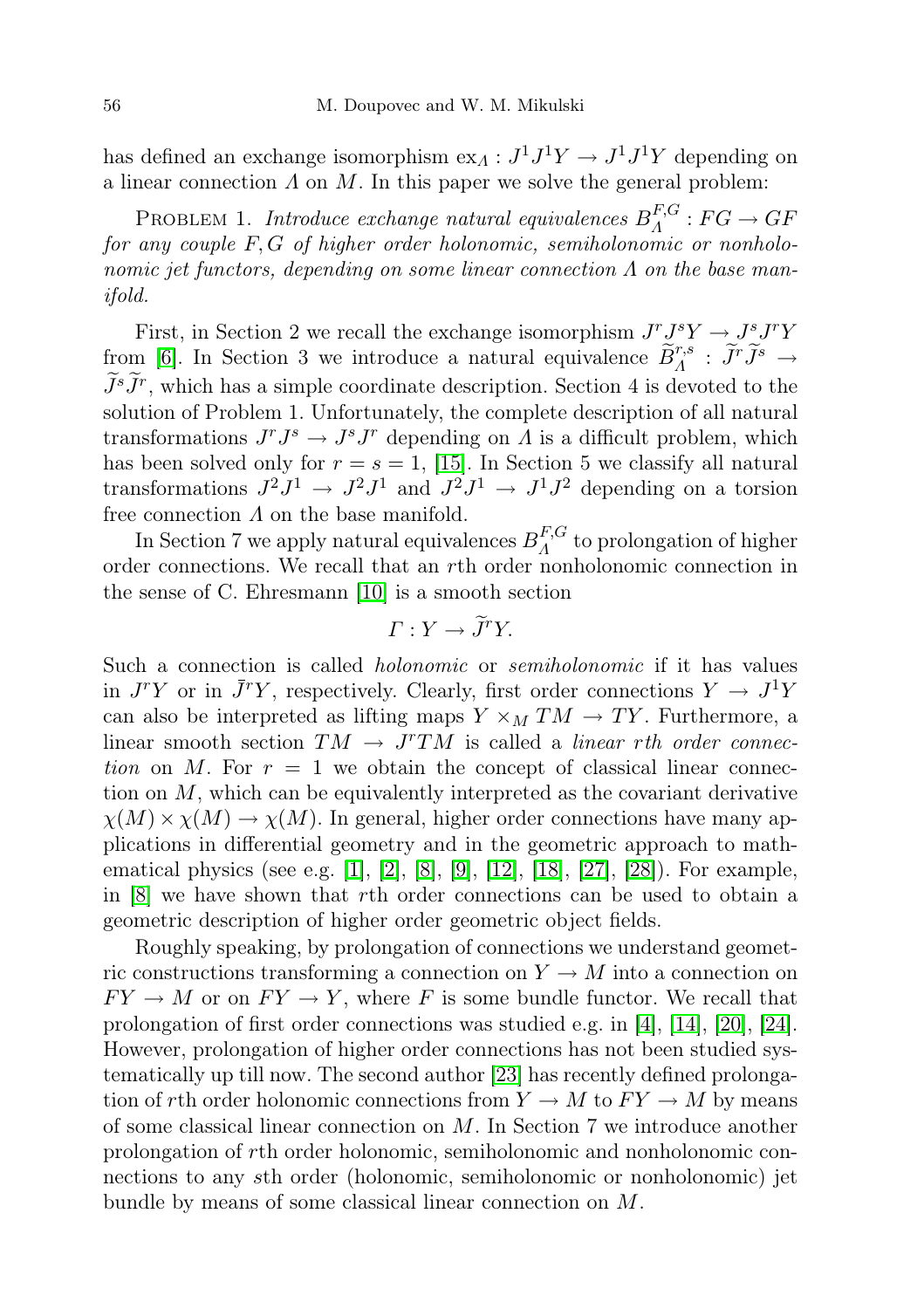has defined an exchange isomorphism  $ex_{\Lambda}: J^1J^1Y \to J^1J^1Y$  depending on a linear connection  $\Lambda$  on  $M$ . In this paper we solve the general problem:

PROBLEM 1. Introduce exchange natural equivalences  $B_A^{F,G}$  $A^{F,G}:FG\to GF$ for any couple  $F, G$  of higher order holonomic, semiholonomic or nonholonomic jet functors, depending on some linear connection  $\Lambda$  on the base manifold.

First, in Section 2 we recall the exchange isomorphism  $J^rJ^sY \rightarrow J^sJ^rY$ from [\[6\]](#page-19-3). In Section 3 we introduce a natural equivalence  $\widetilde{B}_{A}^{r,s}$ :  $\widetilde{J}^r\widetilde{J}^s \to$  $\widetilde{J}^s\widetilde{J}^r$ , which has a simple coordinate description. Section 4 is devoted to the solution of Problem 1. Unfortunately, the complete description of all natural transformations  $J^r J^s \to J^s J^r$  depending on  $\Lambda$  is a difficult problem, which has been solved only for  $r = s = 1$ , [\[15\]](#page-20-6). In Section 5 we classify all natural transformations  $J^2J^1 \rightarrow J^2J^1$  and  $J^2J^1 \rightarrow J^1J^2$  depending on a torsion free connection  $\Lambda$  on the base manifold.

In Section 7 we apply natural equivalences  $B_A^{F,G}$  $\Lambda^{r,\mathbf{G}}$  to prolongation of higher order connections. We recall that an rth order nonholonomic connection in the sense of C. Ehresmann [\[10\]](#page-19-4) is a smooth section

$$
\Gamma: Y \to \widetilde{J}^r Y.
$$

Such a connection is called *holonomic* or *semiholonomic* if it has values in  $J^rY$  or in  $\bar{J}^rY$ , respectively. Clearly, first order connections  $Y \to J^1Y$ can also be interpreted as lifting maps  $Y \times_M TM \to TY$ . Furthermore, a linear smooth section  $TM \rightarrow J^rTM$  is called a *linear rth order connec*tion on M. For  $r = 1$  we obtain the concept of classical linear connection on  $M$ , which can be equivalently interpreted as the covariant derivative  $\chi(M) \times \chi(M) \to \chi(M)$ . In general, higher order connections have many applications in differential geometry and in the geometric approach to mathematical physics (see e.g. [\[1\]](#page-19-5), [\[2\]](#page-19-6), [\[8\]](#page-19-0), [\[9\]](#page-19-7), [\[12\]](#page-20-7), [\[18\]](#page-20-8), [\[27\]](#page-20-9), [\[28\]](#page-20-10)). For example, in [\[8\]](#page-19-0) we have shown that rth order connections can be used to obtain a geometric description of higher order geometric object fields.

Roughly speaking, by prolongation of connections we understand geometric constructions transforming a connection on  $Y \to M$  into a connection on  $FY \to M$  or on  $FY \to Y$ , where F is some bundle functor. We recall that prolongation of first order connections was studied e.g. in [\[4\]](#page-19-8), [\[14\]](#page-20-1), [\[20\]](#page-20-11), [\[24\]](#page-20-5). However, prolongation of higher order connections has not been studied systematically up till now. The second author [\[23\]](#page-20-12) has recently defined prolongation of rth order holonomic connections from  $Y \to M$  to  $FY \to M$  by means of some classical linear connection on  $M$ . In Section 7 we introduce another prolongation of rth order holonomic, semiholonomic and nonholonomic connections to any sth order (holonomic, semiholonomic or nonholonomic) jet bundle by means of some classical linear connection on M.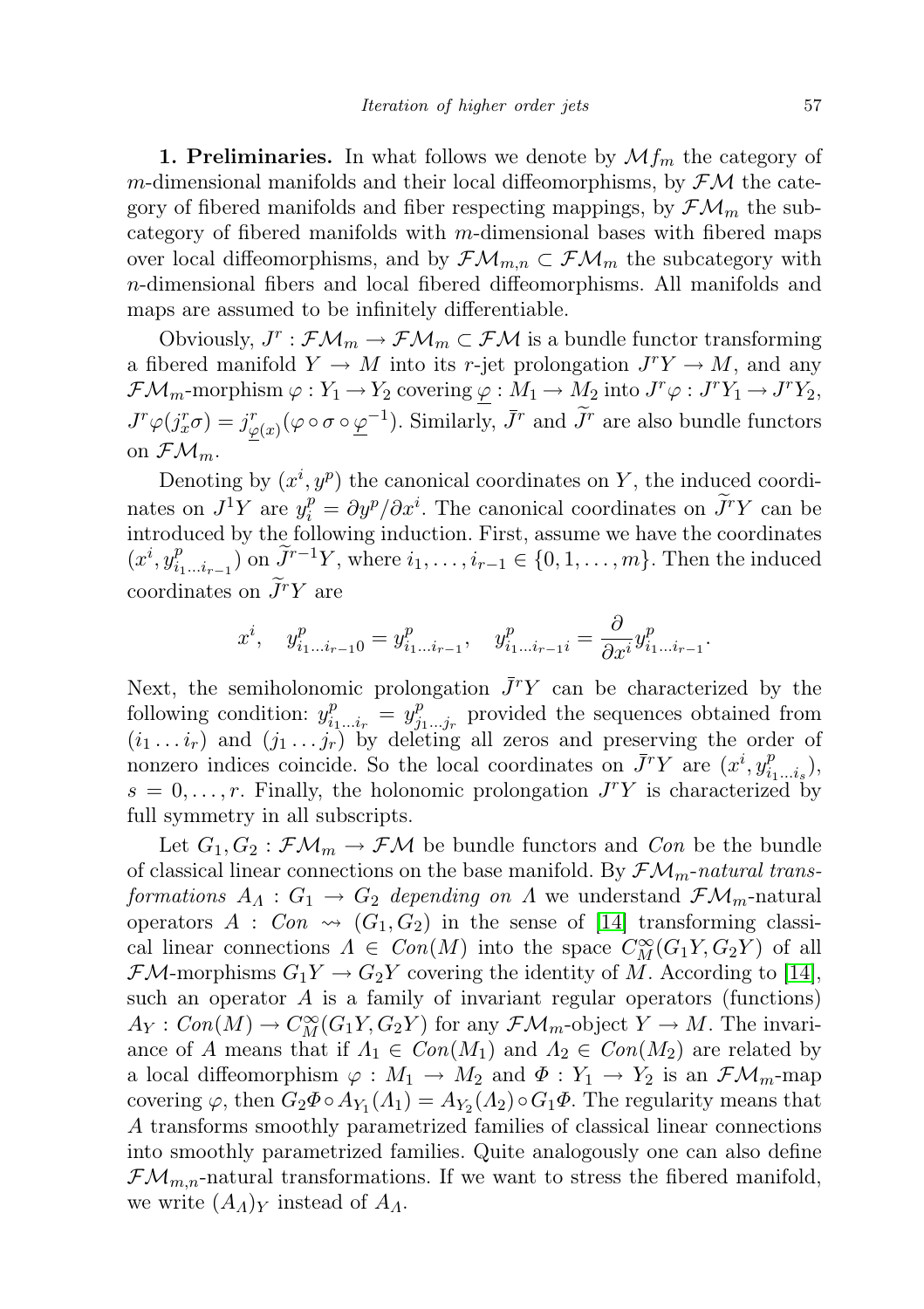**1. Preliminaries.** In what follows we denote by  $\mathcal{M}_{m}$  the category of m-dimensional manifolds and their local diffeomorphisms, by  $\mathcal{FM}$  the category of fibered manifolds and fiber respecting mappings, by  $\mathcal{FM}_m$  the subcategory of fibered manifolds with m-dimensional bases with fibered maps over local diffeomorphisms, and by  $\mathcal{F}\mathcal{M}_{m,n} \subset \mathcal{F}\mathcal{M}_m$  the subcategory with n-dimensional fibers and local fibered diffeomorphisms. All manifolds and maps are assumed to be infinitely differentiable.

Obviously,  $J^r : \mathcal{FM}_m \to \mathcal{FM}_m \subset \mathcal{FM}$  is a bundle functor transforming a fibered manifold  $Y \to M$  into its r-jet prolongation  $J^{r}Y \to M$ , and any  $\mathcal{F}\mathcal{M}_m$ -morphism  $\varphi: Y_1 \to Y_2$  covering  $\underline{\varphi}: M_1 \to M_2$  into  $J^r\varphi: J^rY_1 \to J^rY_2$ ,  $J^r\varphi(j_x^r\sigma)=j_{\underline{\varphi}(x)}^r(\varphi\circ\sigma\circ\underline{\varphi}^{-1})$ . Similarly,  $\bar{J}^r$  and  $\widetilde{J}^r$  are also bundle functors on  $\mathcal{FM}_m$ .

Denoting by  $(x^{i}, y^{p})$  the canonical coordinates on Y, the induced coordinates on  $J^1Y$  are  $y_i^p = \partial y^p / \partial x^i$ . The canonical coordinates on  $\widetilde{J}^rY$  can be introduced by the following induction. First, assume we have the coordinates  $(x^i, y_i^p)$  $\sum_{i_1...i_{r-1}}^{p}$ ) on  $\tilde{J}^{r-1}Y$ , where  $i_1, ..., i_{r-1} \in \{0, 1, ..., m\}$ . Then the induced coordinates on  $\widetilde{J}^r Y$  are

$$
x^{i}, \quad y_{i_{1}...i_{r-1}0}^{p} = y_{i_{1}...i_{r-1}}^{p}, \quad y_{i_{1}...i_{r-1}i}^{p} = \frac{\partial}{\partial x^{i}} y_{i_{1}...i_{r-1}}^{p}.
$$

Next, the semiholonomic prolongation  $\bar{J}^r Y$  can be characterized by the following condition:  $y_i^p$  $\sum_{i_1...i_r}^p = y_j^p$  $j_1^p,...j_r$  provided the sequences obtained from  $(i_1 \ldots i_r)$  and  $(j_1 \ldots j_r)$  by deleting all zeros and preserving the order of nonzero indices coincide. So the local coordinates on  $\bar{J}^r Y$  are  $(x^i, y_i^p)$  $\binom{p}{i_1...i_s},$  $s = 0, \ldots, r$ . Finally, the holonomic prolongation  $J^{r}Y$  is characterized by full symmetry in all subscripts.

Let  $G_1, G_2 : \mathcal{F}\mathcal{M}_m \to \mathcal{F}\mathcal{M}$  be bundle functors and Con be the bundle of classical linear connections on the base manifold. By  $\mathcal{FM}_m\text{-}natural\ trans$ formations  $A_{\Lambda}: G_1 \to G_2$  depending on  $\Lambda$  we understand  $\mathcal{FM}_m$ -natural operators  $A : Con \rightarrow (G_1, G_2)$  in the sense of [\[14\]](#page-20-1) transforming classical linear connections  $\Lambda \in Con(M)$  into the space  $C_M^{\infty}(G_1Y, G_2Y)$  of all  $\mathcal{F}M$ -morphisms  $G_1Y \to G_2Y$  covering the identity of M. According to [\[14\]](#page-20-1), such an operator  $A$  is a family of invariant regular operators (functions)  $A_Y: Con(M) \to C^\infty_M(G_1Y, G_2Y)$  for any  $\mathcal{FM}_m$ -object  $Y \to M$ . The invariance of A means that if  $\Lambda_1 \in Con(M_1)$  and  $\Lambda_2 \in Con(M_2)$  are related by a local diffeomorphism  $\varphi : M_1 \to M_2$  and  $\Phi : Y_1 \to Y_2$  is an  $\mathcal{F}\mathcal{M}_m$ -map covering  $\varphi$ , then  $G_2\Phi \circ A_{Y_1}(A_1) = A_{Y_2}(A_2) \circ G_1\Phi$ . The regularity means that A transforms smoothly parametrized families of classical linear connections into smoothly parametrized families. Quite analogously one can also define  $\mathcal{FM}_{m,n}$ -natural transformations. If we want to stress the fibered manifold, we write  $(A_A)_Y$  instead of  $A_A$ .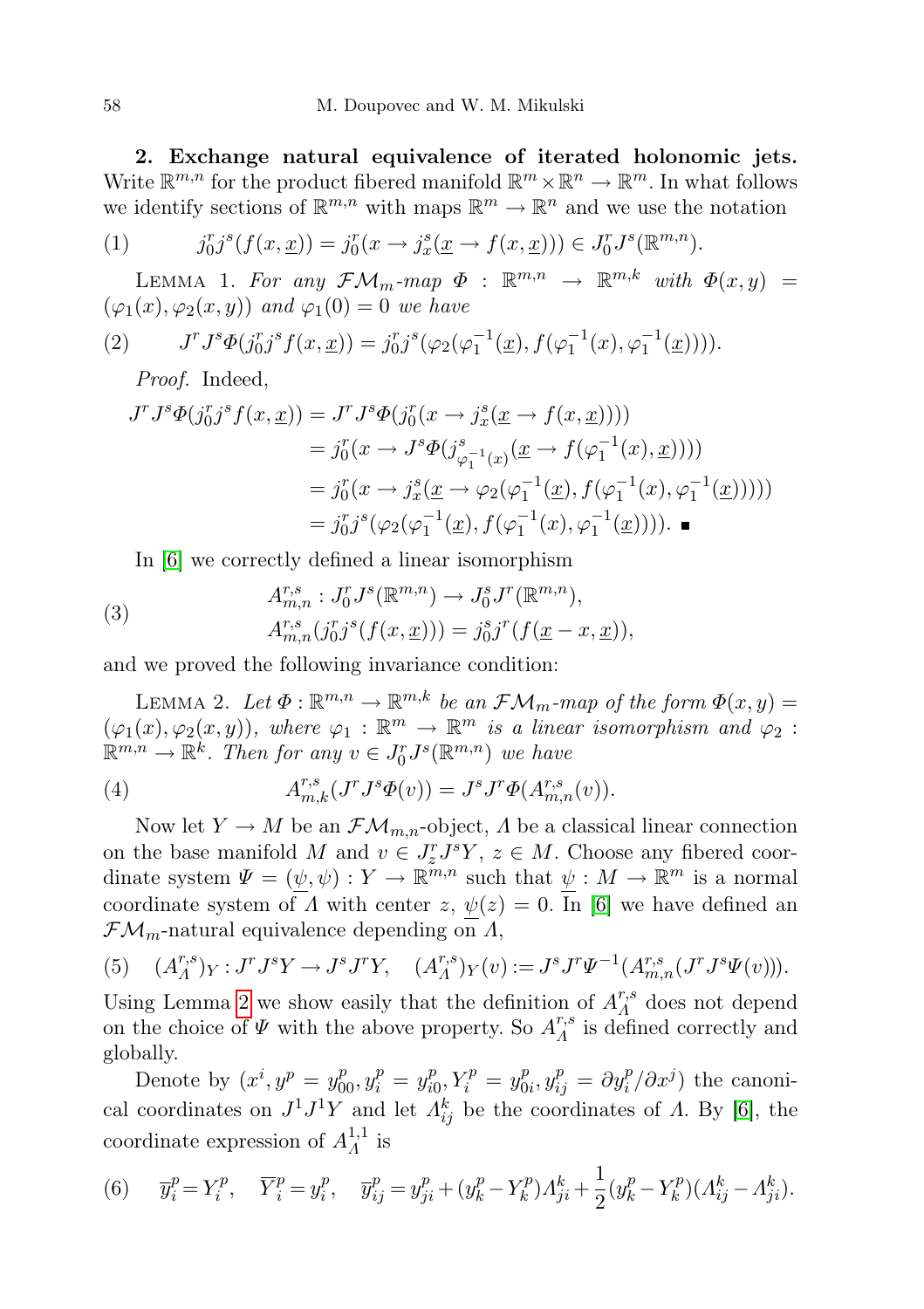2. Exchange natural equivalence of iterated holonomic jets. Write  $\mathbb{R}^{m,n}$  for the product fibered manifold  $\mathbb{R}^m \times \mathbb{R}^n \to \mathbb{R}^m$ . In what follows we identify sections of  $\mathbb{R}^{m,n}$  with maps  $\mathbb{R}^m \to \mathbb{R}^n$  and we use the notation

<span id="page-3-4"></span>(1) 
$$
j_0^r j^s (f(x, \underline{x})) = j_0^r (x \to j_x^s (\underline{x} \to f(x, \underline{x}))) \in J_0^r J^s (\mathbb{R}^{m,n}).
$$

LEMMA 1. For any  $\mathcal{FM}_m$ -map  $\Phi$  :  $\mathbb{R}^{m,n} \to \mathbb{R}^{m,k}$  with  $\Phi(x,y) =$  $(\varphi_1(x), \varphi_2(x, y))$  and  $\varphi_1(0) = 0$  we have

(2) 
$$
J^r J^s \Phi(j_0^r j^s f(x, \underline{x})) = j_0^r j^s (\varphi_2(\varphi_1^{-1}(\underline{x}), f(\varphi_1^{-1}(x), \varphi_1^{-1}(\underline{x}))))
$$

<span id="page-3-5"></span>Proof. Indeed,

$$
J^r J^s \Phi(j_0^r j^s f(x, \underline{x})) = J^r J^s \Phi(j_0^r (x \to j_x^s (\underline{x} \to f(x, \underline{x}))))
$$
  
\n
$$
= j_0^r (x \to J^s \Phi(j_{\varphi_1^{-1}(x)}^s (\underline{x} \to f(\varphi_1^{-1}(x), \underline{x}))))
$$
  
\n
$$
= j_0^r (x \to j_x^s (\underline{x} \to \varphi_2(\varphi_1^{-1}(\underline{x}), f(\varphi_1^{-1}(x), \varphi_1^{-1}(\underline{x}))))
$$
  
\n
$$
= j_0^r j^s (\varphi_2(\varphi_1^{-1}(\underline{x}), f(\varphi_1^{-1}(x), \varphi_1^{-1}(\underline{x})))) . \blacksquare
$$

<span id="page-3-3"></span>In [\[6\]](#page-19-3) we correctly defined a linear isomorphism

(3) 
$$
A_{m,n}^{r,s}: J_0^r J^s(\mathbb{R}^{m,n}) \to J_0^s J^r(\mathbb{R}^{m,n}),
$$

$$
A_{m,n}^{r,s}(j_0^r j^s(f(x,\underline{x}))) = j_0^s j^r(f(\underline{x}-x,\underline{x})),
$$

and we proved the following invariance condition:

<span id="page-3-0"></span>LEMMA 2. Let  $\Phi : \mathbb{R}^{m,n} \to \mathbb{R}^{m,k}$  be an  $\mathcal{FM}_m$ -map of the form  $\Phi(x, y) =$  $(\varphi_1(x), \varphi_2(x, y))$ , where  $\varphi_1 : \mathbb{R}^m \to \mathbb{R}^m$  is a linear isomorphism and  $\varphi_2$ :  $\mathbb{R}^{m,n} \to \mathbb{R}^k$ . Then for any  $v \in J_0^r J^s(\mathbb{R}^{m,n})$  we have

(4) 
$$
A^{r,s}_{m,k}(J^r J^s \Phi(v)) = J^s J^r \Phi(A^{r,s}_{m,n}(v)).
$$

Now let  $Y \to M$  be an  $\mathcal{F}\mathcal{M}_{m,n}$ -object,  $\Lambda$  be a classical linear connection on the base manifold M and  $v \in J_z^r J^s Y$ ,  $z \in M$ . Choose any fibered coordinate system  $\Psi = (\psi, \psi) : Y \to \mathbb{R}^{m,n}$  such that  $\psi : M \to \mathbb{R}^m$  is a normal coordinate system of  $\Lambda$  with center  $z, \psi(z) = 0$ . In [\[6\]](#page-19-3) we have defined an  $\mathcal{F}\mathcal{M}_m$ -natural equivalence depending on  $\Lambda$ ,

<span id="page-3-2"></span>(5) 
$$
(A_{A}^{r,s})_{Y}: J^{r}J^{s}Y \to J^{s}J^{r}Y, \quad (A_{A}^{r,s})_{Y}(v) := J^{s}J^{r}\Psi^{-1}(A_{m,n}^{r,s}(J^{r}J^{s}\Psi(v))).
$$

Using Lemma [2](#page-3-0) we show easily that the definition of  $A^{r,s}_{\Lambda}$  $\Lambda^{r,s}_{\Lambda}$  does not depend on the choice of  $\Psi$  with the above property. So  $A^{r,s}_{\Lambda}$  $\Lambda^{r,s}$  is defined correctly and globally.

Denote by  $(x^{i}, y^{p} = y_{00}^{p}, y_{i}^{p} = y_{i0}^{p})$  $j_0^p, Y_i^p = y_0^p$  $\partial_{0i}^p, y_{ij}^p = \partial y_i^p / \partial x^j$  the canonical coordinates on  $J^1J^1Y$  and let  $\Lambda_{ij}^k$  be the coordinates of  $\Lambda$ . By [\[6\]](#page-19-3), the coordinate expression of  $A^{1,1}_{\Lambda}$  $\frac{1}{4}$  is

<span id="page-3-1"></span>(6) 
$$
\overline{y}_i^p = Y_i^p
$$
,  $\overline{Y}_i^p = y_i^p$ ,  $\overline{y}_{ij}^p = y_{ji}^p + (y_k^p - Y_k^p)A_{ji}^k + \frac{1}{2}(y_k^p - Y_k^p)(A_{ij}^k - A_{ji}^k)$ .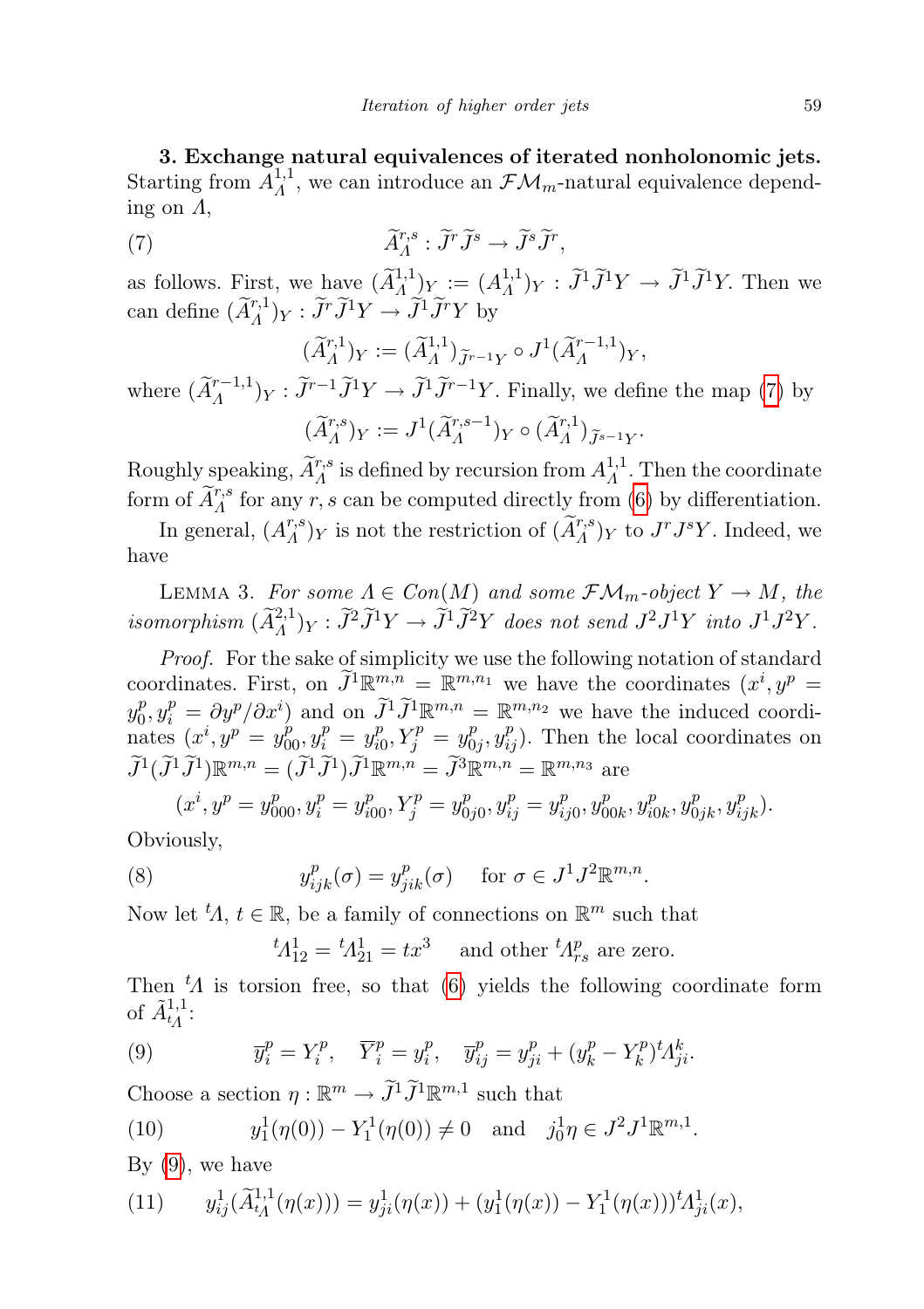3. Exchange natural equivalences of iterated nonholonomic jets. Starting from  $A^{1,1}_{\Lambda}$ <sup>1,1</sup>, we can introduce an  $\mathcal{FM}_m$ -natural equivalence depending on  $\Lambda$ ,

(7) 
$$
\widetilde{A}^{r,s}_A : \widetilde{J}^r \widetilde{J}^s \to \widetilde{J}^s \widetilde{J}^r,
$$

as follows. First, we have  $(\widetilde{A}^{1,1}_A)_{Y} := (A^{1,1}_A)_{Y}$  $({}^{1,1}_{A})_Y : \tilde{J}^1 \tilde{J}^1 Y \to \tilde{J}^1 \tilde{J}^1 Y$ . Then we can define  $(\tilde{A}_{A}^{r,1})_Y : \tilde{J}^r \tilde{J}^1 Y \to \tilde{J}^1 \tilde{J}^r Y$  by

<span id="page-4-0"></span>
$$
(\widetilde{A}_{\Lambda}^{r,1})_Y := (\widetilde{A}_{\Lambda}^{1,1})_{\widetilde{J}^{r-1}Y} \circ J^1(\widetilde{A}_{\Lambda}^{r-1,1})_Y,
$$

where  $(\tilde{A}_{A}^{r-1,1})_Y : \tilde{J}^{r-1}\tilde{J}^1Y \to \tilde{J}^1\tilde{J}^{r-1}Y$ . Finally, we define the map [\(7\)](#page-4-0) by  $(\widetilde{A}_{A}^{r,s})_Y := J^1(\widetilde{A}_{A}^{r,s-1})_Y \circ (\widetilde{A}_{A}^{r,1})_{\widetilde{J}^{s-1}Y}.$ 

Roughly speaking,  $\widetilde{A}^{r,s}_{\Lambda}$  is defined by recursion from  $A^{1,1}_{\Lambda}$  $\Lambda^{1,1}$ . Then the coordinate form of  $\widetilde{A}^{r,s}_{A}$  for any r, s can be computed directly from [\(6\)](#page-3-1) by differentiation.

In general,  $(A^{r,s}_A)$  $\widetilde{A}_{A}^{r,s}$ )  $_{Y}$  is not the restriction of  $(\widetilde{A}_{A}^{r,s})_{Y}$  to  $J^{r}J^{s}Y$ . Indeed, we have

LEMMA 3. For some  $\Lambda \in Con(M)$  and some  $\mathcal{FM}_m$ -object  $Y \to M$ , the isomorphism  $(\widetilde{A}_{A}^{2,1})_Y : \widetilde{J}^2 \widetilde{J}^1 Y \to \widetilde{J}^1 \widetilde{J}^2 Y$  does not send  $J^2 J^1 Y$  into  $J^1 J^2 Y$ .

Proof. For the sake of simplicity we use the following notation of standard coordinates. First, on  $\widetilde{J}^1 \mathbb{R}^{m,n} = \mathbb{R}^{m,n_1}$  we have the coordinates  $(x^i, y^p)$  $y_0^p$  $\tilde{p}_0, y_i^p = \partial y^p / \partial x^i$  and on  $\tilde{J}^1 \tilde{J}^1 \mathbb{R}^{m,n} = \mathbb{R}^{m,n_2}$  we have the induced coordinates  $(x^{i}, y^{p} = y_{00}^{p}, y_{i}^{p} = y_{i0}^{p})$  $j_0^p, Y_j^p = y_0^p$  $\left( \begin{array}{c} p \\ 0_j, y_{ij}^p \end{array} \right)$ . Then the local coordinates on  $\widetilde{J}^1(\widetilde{J}^1\widetilde{J}^1)\mathbb{R}^{m,n} = (\widetilde{J}^1\widetilde{J}^1)\widetilde{J}^1\mathbb{R}^{m,n} = \widetilde{J}^3\mathbb{R}^{m,n} = \mathbb{R}^{m,n_3}$  are

$$
(x^{i}, y^{p} = y^{p}_{000}, y^{p}_{i} = y^{p}_{i00}, Y^{p}_{j} = y^{p}_{0j0}, y^{p}_{ij} = y^{p}_{ij0}, y^{p}_{00k}, y^{p}_{i0k}, y^{p}_{0jk}, y^{p}_{ijk}).
$$

Obviously,

(8) 
$$
y_{ijk}^p(\sigma) = y_{jik}^p(\sigma) \quad \text{for } \sigma \in J^1 J^2 \mathbb{R}^{m,n}.
$$

Now let  ${}^t\!A, t \in \mathbb{R}$ , be a family of connections on  $\mathbb{R}^m$  such that

<span id="page-4-1"></span> ${}^t\! \Lambda^1_{12} = {}^t\! \Lambda^1_{21} = tx^3$  and other  ${}^t\! \Lambda^p_{rs}$  are zero.

Then  $t\Lambda$  is torsion free, so that [\(6\)](#page-3-1) yields the following coordinate form of  $\tilde{A}_{tA}^{1,1}$ :

(9) 
$$
\overline{y}_i^p = Y_i^p, \quad \overline{Y}_i^p = y_i^p, \quad \overline{y}_{ij}^p = y_{ji}^p + (y_k^p - Y_k^p)^t A_{ji}^k.
$$

Choose a section  $\eta : \mathbb{R}^m \to \tilde{J}^1 \tilde{J}^1 \mathbb{R}^{m,1}$  such that

<span id="page-4-2"></span>(10) 
$$
y_1^1(\eta(0)) - Y_1^1(\eta(0)) \neq 0
$$
 and  $j_0^1 \eta \in J^2 J^1 \mathbb{R}^{m,1}$ .

By  $(9)$ , we have

(11) 
$$
y_{ij}^1(\tilde{A}_{t\Lambda}^{1,1}(\eta(x))) = y_{ji}^1(\eta(x)) + (y_1^1(\eta(x)) - Y_1^1(\eta(x)))^t A_{ji}^1(x),
$$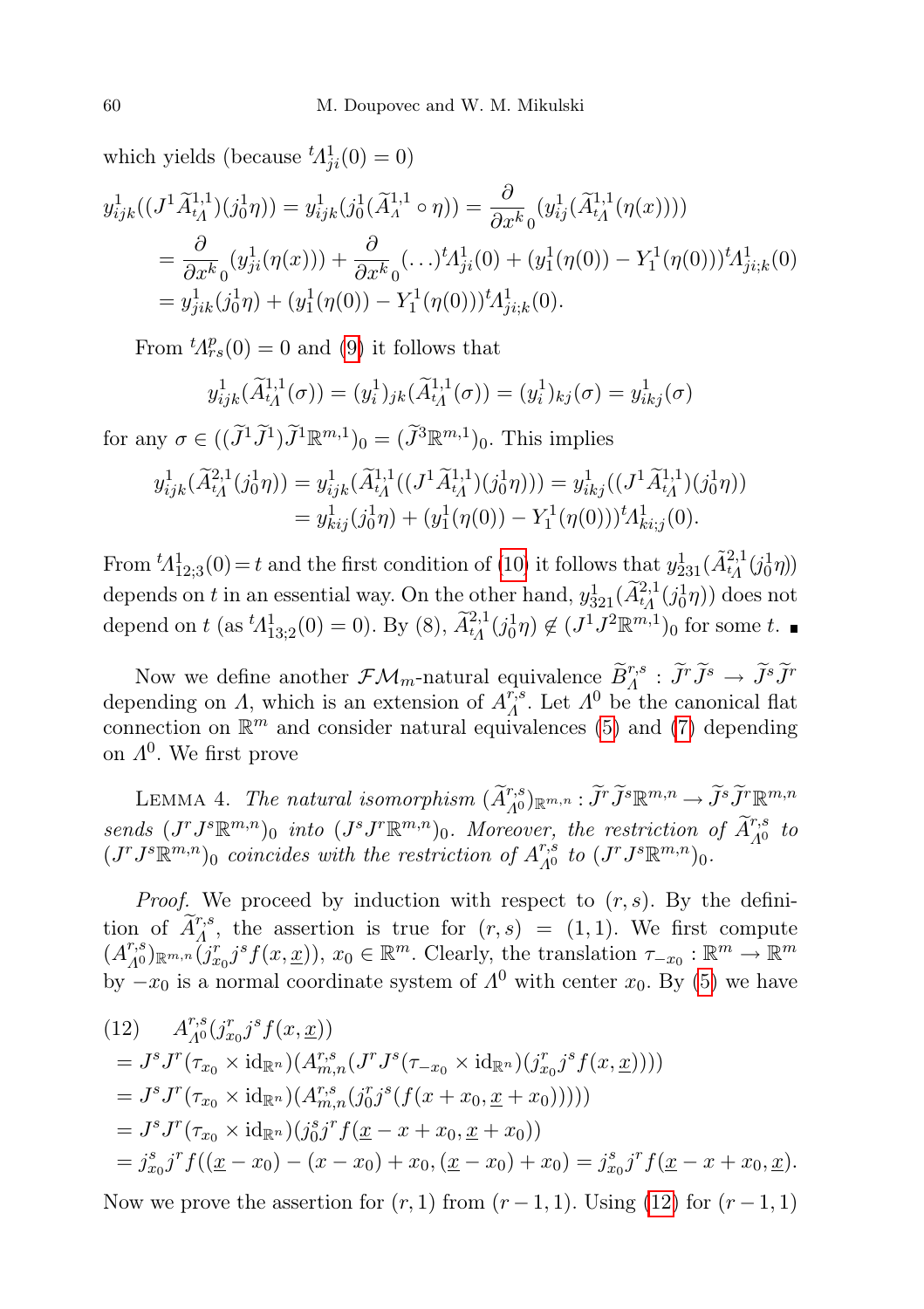which yields (because  ${}^{t}\!A_{ji}^1(0) = 0$ )

$$
y_{ijk}^1((J^1\widetilde{A}_{t\Lambda}^{1,1})(j_0^1\eta)) = y_{ijk}^1(j_0^1(\widetilde{A}_{\Lambda}^{1,1}\circ\eta)) = \frac{\partial}{\partial x^k_0}(y_{ij}^1(\widetilde{A}_{t\Lambda}^{1,1}(\eta(x))))
$$
  
\n
$$
= \frac{\partial}{\partial x^k_0}(y_{ji}^1(\eta(x))) + \frac{\partial}{\partial x^k_0}(\ldots)^t A_{ji}^1(0) + (y_1^1(\eta(0)) - Y_1^1(\eta(0)))^t A_{ji,k}^1(0)
$$
  
\n
$$
= y_{jik}^1(j_0^1\eta) + (y_1^1(\eta(0)) - Y_1^1(\eta(0)))^t A_{ji,k}^1(0).
$$

From  ${}^t\!A_{rs}^p(0) = 0$  and [\(9\)](#page-4-1) it follows that

$$
y_{ijk}^1(\widetilde{A}_{t_1}^{1,1}(\sigma)) = (y_i^1)_{jk}(\widetilde{A}_{t_1}^{1,1}(\sigma)) = (y_i^1)_{kj}(\sigma) = y_{ikj}^1(\sigma)
$$

for any  $\sigma \in ((\tilde{J}^1 \tilde{J}^1) \tilde{J}^1 \mathbb{R}^{m,1})_0 = (\tilde{J}^3 \mathbb{R}^{m,1})_0$ . This implies

$$
y_{ijk}^1(\widetilde{A}_{tA}^{2,1}(j_0^1\eta)) = y_{ijk}^1(\widetilde{A}_{tA}^{1,1}((J^1\widetilde{A}_{tA}^{1,1})(j_0^1\eta))) = y_{ikj}^1((J^1\widetilde{A}_{tA}^{1,1})(j_0^1\eta))
$$
  
=  $y_{kij}^1(j_0^1\eta) + (y_1^1(\eta(0)) - Y_1^1(\eta(0)))^tA_{ki;j}^1(0).$ 

From  ${}^t\! \Lambda^1_{12;3}(0) = t$  and the first condition of [\(10\)](#page-4-2) it follows that  $y_{231}^1(\tilde{A}_{t_1}^{2,1}(j_0^1\eta))$ depends on t in an essential way. On the other hand,  $y_{321}^1(\tilde{A}_{t_1}^{2,1}(j_0^1\eta))$  does not depend on t (as  ${}^t\Lambda^1_{13;2}(0) = 0$ ). By (8),  $\widetilde{A}^{2,1}_{t_1}(j_0^1\eta) \notin (J^1J^2\mathbb{R}^{m,1})_0$  for some t.

Now we define another  $\mathcal{F}\mathcal{M}_m$ -natural equivalence  $\widetilde{B}^{r,s}_A : \widetilde{J}^r \widetilde{J}^s \to \widetilde{J}^s \widetilde{J}^r$ depending on A, which is an extension of  $A_A^{r,s}$ <sup>r,s</sup>. Let  $\Lambda^0$  be the canonical flat connection on  $\mathbb{R}^m$  and consider natural equivalences [\(5\)](#page-3-2) and [\(7\)](#page-4-0) depending on  $\Lambda^{0}$ . We first prove

<span id="page-5-1"></span>LEMMA 4. The natural isomorphism  $(\widetilde{A}_{A^0}^{r,s})_{\mathbb{R}^{m,n}} : \widetilde{J}^r \widetilde{J}^s \mathbb{R}^{m,n} \to \widetilde{J}^s \widetilde{J}^r \mathbb{R}^{m,n}$ sends  $(J^r J^{s} \mathbb{R}^{m,n})_0$  into  $(J^s J^r \mathbb{R}^{m,n})_0$ . Moreover, the restriction of  $\tilde{A}_{A^0}^{r,s}$  to  $(J^r J^{s} \mathbb{R}^{m,n})_0$  coincides with the restriction of  $A^{r,s}_{\Lambda^0}$  $_{A^0}^{r,s}$  to  $(J^rJ^s\mathbb{R}^{m,n})_0$ .

*Proof.* We proceed by induction with respect to  $(r, s)$ . By the definition of  $\tilde{A}^{r,s}_{\Lambda}$ , the assertion is true for  $(r, s) = (1, 1)$ . We first compute  $(A_{A^0}^{r,s})_{\mathbb{R}^{m,n}}(j_{x_0}^r j^s f(x,\underline{x})), x_0 \in \mathbb{R}^m$ . Clearly, the translation  $\tau_{-x_0}: \mathbb{R}^m \to \mathbb{R}^m$ by  $-x_0$  is a normal coordinate system of  $\Lambda^0$  with center  $x_0$ . By [\(5\)](#page-3-2) we have

<span id="page-5-0"></span>
$$
(12) \t A_{A^0}^{r,s}(j_{x_0}^r j^s f(x, \underline{x}))
$$
  
\t=  $J^s J^r(\tau_{x_0} \times \mathrm{id}_{\mathbb{R}^n})(A_{m,n}^{r,s}(J^r J^s (\tau_{-x_0} \times \mathrm{id}_{\mathbb{R}^n})(j_{x_0}^r j^s f(x, \underline{x}))))$   
\t=  $J^s J^r(\tau_{x_0} \times \mathrm{id}_{\mathbb{R}^n})(A_{m,n}^{r,s}(j_0^r j^s (f(x + x_0, \underline{x} + x_0))))$   
\t=  $J^s J^r(\tau_{x_0} \times \mathrm{id}_{\mathbb{R}^n})(j_0^s j^r f(\underline{x} - x + x_0, \underline{x} + x_0))$   
\t=  $j_{x_0}^s j^r f((\underline{x} - x_0) - (x - x_0) + x_0, (\underline{x} - x_0) + x_0) = j_{x_0}^s j^r f(\underline{x} - x + x_0, \underline{x}).$ 

Now we prove the assertion for  $(r, 1)$  from  $(r-1, 1)$ . Using [\(12\)](#page-5-0) for  $(r-1, 1)$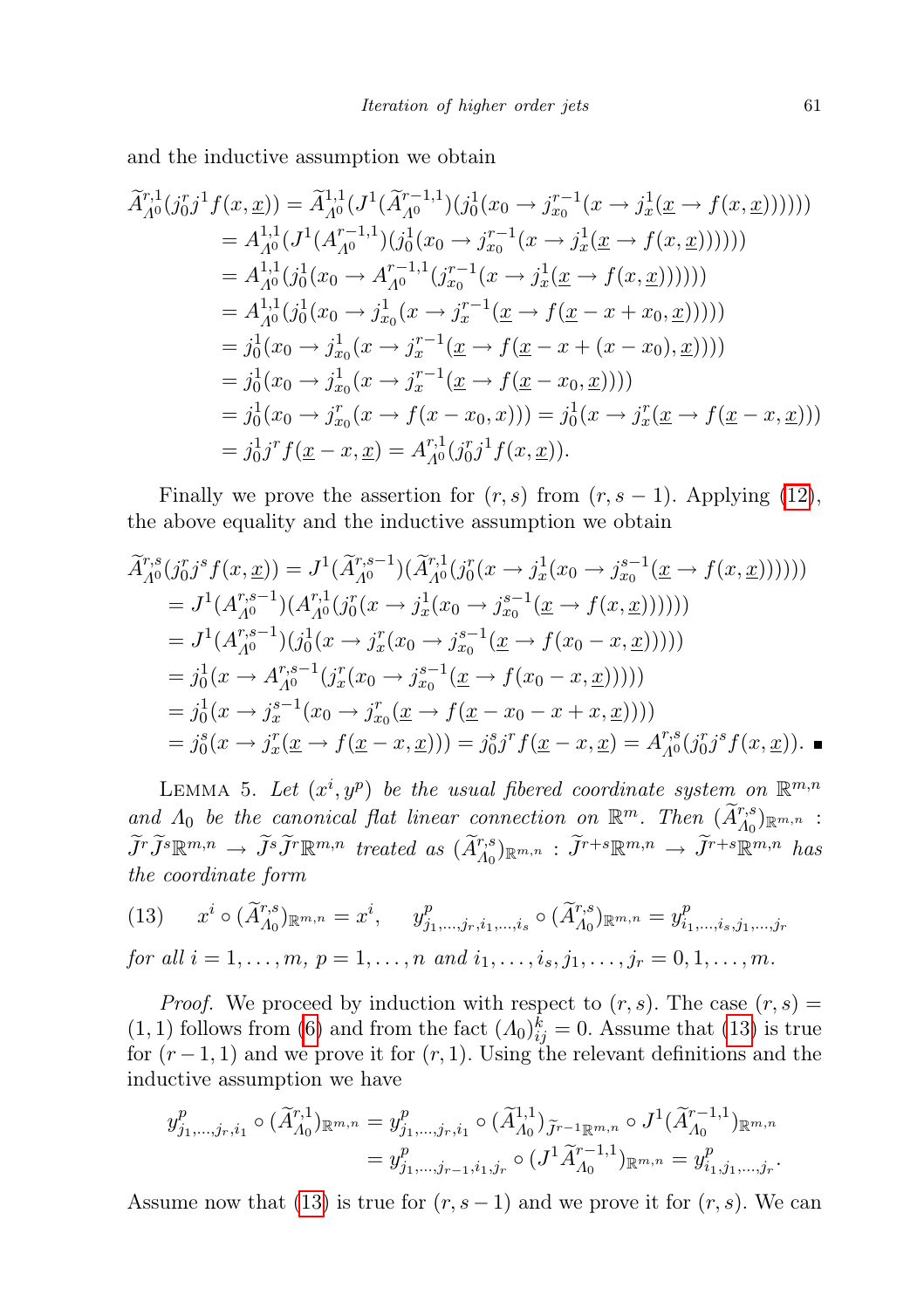and the inductive assumption we obtain

$$
\widetilde{A}_{A^0}^{r,1}(j_0^r j^1 f(x, \underline{x})) = \widetilde{A}_{A^0}^{1,1}(J^1(\widetilde{A}_{A^0}^{r-1,1})(j_0^1(x_0 \rightarrow j_{x_0}^{r-1}(x \rightarrow j_x^1(\underline{x} \rightarrow f(x, \underline{x}))))))
$$
\n
$$
= A_{A^0}^{1,1}(J^1(A_{A^0}^{r-1,1})(j_0^1(x_0 \rightarrow j_{x_0}^{r-1}(x \rightarrow j_x^1(\underline{x} \rightarrow f(x, \underline{x}))))))
$$
\n
$$
= A_{A^0}^{1,1}(j_0^1(x_0 \rightarrow A_{A^0}^{r-1,1}(j_{x_0}^{r-1}(x \rightarrow j_x^1(\underline{x} \rightarrow f(x, \underline{x}))))))
$$
\n
$$
= A_{A^0}^{1,1}(j_0^1(x_0 \rightarrow j_{x_0}^1(x \rightarrow j_x^{r-1}(\underline{x} \rightarrow f(\underline{x} - x + x_0, \underline{x}))))))
$$
\n
$$
= j_0^1(x_0 \rightarrow j_{x_0}^1(x \rightarrow j_x^{r-1}(\underline{x} \rightarrow f(\underline{x} - x + (x - x_0), \underline{x}))))
$$
\n
$$
= j_0^1(x_0 \rightarrow j_{x_0}^1(x \rightarrow j_x^{r-1}(\underline{x} \rightarrow f(\underline{x} - x_0, \underline{x}))))
$$
\n
$$
= j_0^1(x_0 \rightarrow j_{x_0}^r(x \rightarrow f(x - x_0, x))) = j_0^1(x \rightarrow j_x^r(\underline{x} \rightarrow f(\underline{x} - x, \underline{x})))
$$
\n
$$
= j_0^1 j^r f(\underline{x} - x, \underline{x}) = A_{A^0}^{r,1}(j_0^r j^1 f(x, \underline{x})).
$$

Finally we prove the assertion for  $(r, s)$  from  $(r, s - 1)$ . Applying [\(12\)](#page-5-0), the above equality and the inductive assumption we obtain

$$
\begin{split}\n\widetilde{A}_{A^0}^{r,s}(j_0^r j^s f(x,\underline{x})) &= J^1(\widetilde{A}_{A^0}^{r,s-1})(\widetilde{A}_{A^0}^{r,1}(j_0^r(x \to j_x^1(x_0 \to j_{x_0}^{s-1}(\underline{x} \to f(x,\underline{x})))))) \\
&= J^1(A_{A^0}^{r,s-1})(A_{A^0}^{r,1}(j_0^r(x \to j_x^1(x_0 \to j_{x_0}^{s-1}(\underline{x} \to f(x,\underline{x})))))) \\
&= J^1(A_{A^0}^{r,s-1})(j_0^1(x \to j_x^r(x_0 \to j_{x_0}^{s-1}(\underline{x} \to f(x_0 - x,\underline{x})))))) \\
&= j_0^1(x \to A_{A^0}^{r,s-1}(j_x^r(x_0 \to j_{x_0}^{s-1}(\underline{x} \to f(x_0 - x,\underline{x})))))) \\
&= j_0^1(x \to j_x^{s-1}(x_0 \to j_{x_0}^r(\underline{x} \to f(\underline{x} - x_0 - x + x,\underline{x})))) \\
&= j_0^s(x \to j_x^r(\underline{x} \to f(\underline{x} - x,\underline{x}))) = j_0^s j^r f(\underline{x} - x,\underline{x}) = A_{A^0}^{r,s}(j_0^r j^s f(x,\underline{x})).\n\end{split}
$$

<span id="page-6-1"></span>LEMMA 5. Let  $(x^i, y^p)$  be the usual fibered coordinate system on  $\mathbb{R}^{m,n}$ and  $\Lambda_0$  be the canonical flat linear connection on  $\mathbb{R}^m$ . Then  $(\widetilde{A}_{\Lambda_0}^{r,s})_{\mathbb{R}^{m,n}}$ :  $\widetilde{J}^r \widetilde{J}^s \mathbb{R}^{m,n} \rightarrow \widetilde{J}^s \widetilde{J}^r \mathbb{R}^{m,n}$  treated as  $(\widetilde{A}_{A_0}^{r,s})_{\mathbb{R}^{m,n}} : \widetilde{J}^{r+s} \mathbb{R}^{m,n} \rightarrow \widetilde{J}^{r+s} \mathbb{R}^{m,n}$  has the coordinate form

<span id="page-6-0"></span>(13) 
$$
x^{i} \circ (\widetilde{A}_{A_{0}}^{r,s})_{\mathbb{R}^{m,n}} = x^{i}, \quad y^{p}_{j_{1},...,j_{r},i_{1},...,i_{s}} \circ (\widetilde{A}_{A_{0}}^{r,s})_{\mathbb{R}^{m,n}} = y^{p}_{i_{1},...,i_{s},j_{1},...,j_{r}}
$$
  
for all  $i = 1,...,m, p = 1,...,n$  and  $i_{1},...,i_{s},j_{1},...,j_{r} = 0,1,...,m$ .

*Proof.* We proceed by induction with respect to  $(r, s)$ . The case  $(r, s)$  =  $(1, 1)$  follows from [\(6\)](#page-3-1) and from the fact  $(A_0)_{ij}^k = 0$ . Assume that [\(13\)](#page-6-0) is true for  $(r-1, 1)$  and we prove it for  $(r, 1)$ . Using the relevant definitions and the inductive assumption we have

$$
y_{j_1,\dots,j_r,i_1}^p \circ (\tilde{A}_{\Lambda_0}^{r,1})_{\mathbb{R}^{m,n}} = y_{j_1,\dots,j_r,i_1}^p \circ (\tilde{A}_{\Lambda_0}^{1,1})_{\tilde{J}^{r-1}\mathbb{R}^{m,n}} \circ J^1(\tilde{A}_{\Lambda_0}^{r-1,1})_{\mathbb{R}^{m,n}}
$$
  
=  $y_{j_1,\dots,j_{r-1},i_1,j_r}^p \circ (J^1\tilde{A}_{\Lambda_0}^{r-1,1})_{\mathbb{R}^{m,n}} = y_{i_1,j_1,\dots,j_r}^p.$ 

Assume now that [\(13\)](#page-6-0) is true for  $(r, s - 1)$  and we prove it for  $(r, s)$ . We can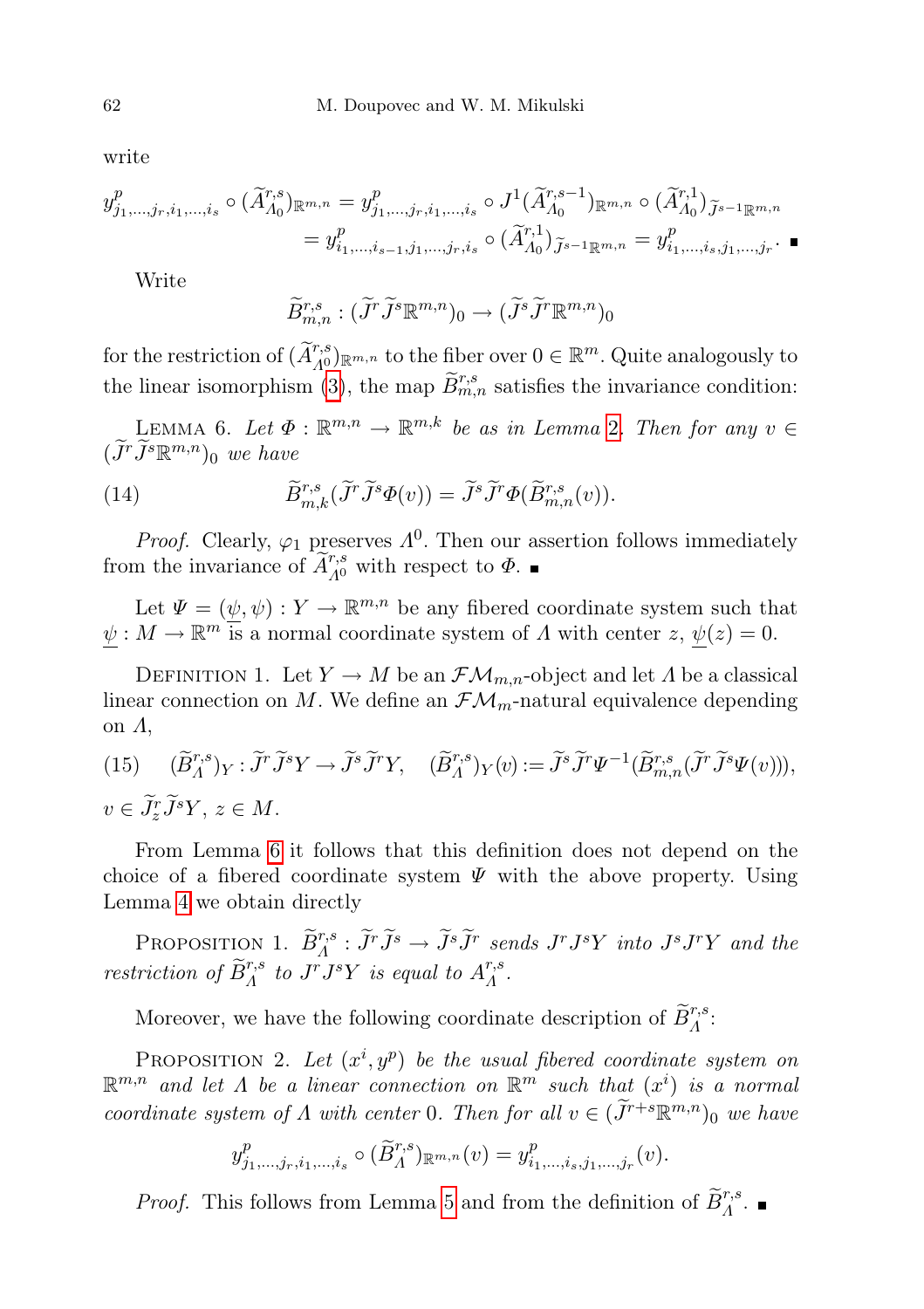write

$$
y_{j_1,\dots,j_r,i_1,\dots,i_s}^p \circ (\widetilde{A}_{A_0}^{r,s})_{\mathbb{R}^{m,n}} = y_{j_1,\dots,j_r,i_1,\dots,i_s}^p \circ J^1(\widetilde{A}_{A_0}^{r,s-1})_{\mathbb{R}^{m,n}} \circ (\widetilde{A}_{A_0}^{r,1})_{\widetilde{J}^{s-1}\mathbb{R}^{m,n}} = y_{i_1,\dots,i_{s-1},j_1,\dots,j_r,i_s}^p \circ (\widetilde{A}_{A_0}^{r,1})_{\widetilde{J}^{s-1}\mathbb{R}^{m,n}} = y_{i_1,\dots,i_s,j_1,\dots,j_r}^p.
$$

Write

$$
\widetilde{B}_{m,n}^{r,s}: (\widetilde{J}^r \widetilde{J}^s \mathbb{R}^{m,n})_0 \to (\widetilde{J}^s \widetilde{J}^r \mathbb{R}^{m,n})_0
$$

for the restriction of  $(\widetilde{A}_{A^0}^{r,s})_{\mathbb{R}^{m,n}}$  to the fiber over  $0 \in \mathbb{R}^m$ . Quite analogously to the linear isomorphism [\(3\)](#page-3-3), the map  $\widetilde{B}_{m,n}^{r,s}$  satisfies the invariance condition:

<span id="page-7-0"></span>LEMMA 6. Let  $\Phi : \mathbb{R}^{m,n} \to \mathbb{R}^{m,k}$  be as in Lemma [2](#page-3-0). Then for any  $v \in$  $(\widetilde{J}^r \widetilde{J}^s \mathbb{R}^{m,n})_0$  we have

(14) 
$$
\widetilde{B}^{r,s}_{m,k}(\widetilde{J}^r\widetilde{J}^s\Phi(v)) = \widetilde{J}^s\widetilde{J}^r\Phi(\widetilde{B}^{r,s}_{m,n}(v)).
$$

*Proof.* Clearly,  $\varphi_1$  preserves  $\Lambda^0$ . Then our assertion follows immediately from the invariance of  $\widetilde{A}_{A^0}^{r,s}$  with respect to  $\Phi$ .

Let  $\Psi = (\psi, \psi) : Y \to \mathbb{R}^{m,n}$  be any fibered coordinate system such that  $\psi: M \to \mathbb{R}^m$  is a normal coordinate system of  $\Lambda$  with center  $z, \psi(z) = 0$ .

DEFINITION 1. Let  $Y \to M$  be an  $\mathcal{FM}_{m,n}$ -object and let  $\Lambda$  be a classical linear connection on M. We define an  $\mathcal{F}\mathcal{M}_m$ -natural equivalence depending on Λ,

(15) 
$$
(\widetilde{B}_{\Lambda}^{r,s})_Y : \widetilde{J}^r \widetilde{J}^s Y \to \widetilde{J}^s \widetilde{J}^r Y, \quad (\widetilde{B}_{\Lambda}^{r,s})_Y(v) := \widetilde{J}^s \widetilde{J}^r \Psi^{-1} (\widetilde{B}_{m,n}^{r,s} (\widetilde{J}^r \widetilde{J}^s \Psi(v))),
$$
  
 $v \in \widetilde{J}_z^r \widetilde{J}^s Y, z \in M.$ 

From Lemma [6](#page-7-0) it follows that this definition does not depend on the choice of a fibered coordinate system  $\Psi$  with the above property. Using Lemma [4](#page-5-1) we obtain directly

PROPOSITION 1.  $\widetilde{B}_{\Lambda}^{r,s}$ :  $\widetilde{J}^r \widetilde{J}^s \to \widetilde{J}^s \widetilde{J}^r$  sends  $J^r J^s Y$  into  $J^s J^r Y$  and the restriction of  $\widetilde{B}_{\Lambda}^{r,s}$  to  $J^rJ^sY$  is equal to  $A_{\Lambda}^{r,s}$  $\frac{r,s}{A}$  .

Moreover, we have the following coordinate description of  $\widetilde{B}_{\varLambda}^{r,s}$ :

<span id="page-7-1"></span>PROPOSITION 2. Let  $(x^i, y^p)$  be the usual fibered coordinate system on  $\mathbb{R}^{m,n}$  and let  $\Lambda$  be a linear connection on  $\mathbb{R}^m$  such that  $(x^i)$  is a normal coordinate system of  $\Lambda$  with center 0. Then for all  $v \in (\tilde{J}^{r+s} \mathbb{R}^{m,n})_0$  we have

$$
y_{j_1,...,j_r,i_1,...,i_s}^p \circ (\widetilde{B}_{A}^{r,s})_{\mathbb{R}^{m,n}}(v) = y_{i_1,...,i_s,j_1,...,j_r}^p(v).
$$

*Proof.* This follows from Lemma [5](#page-6-1) and from the definition of  $\widetilde{B}_{\Lambda}^{r,s}$ .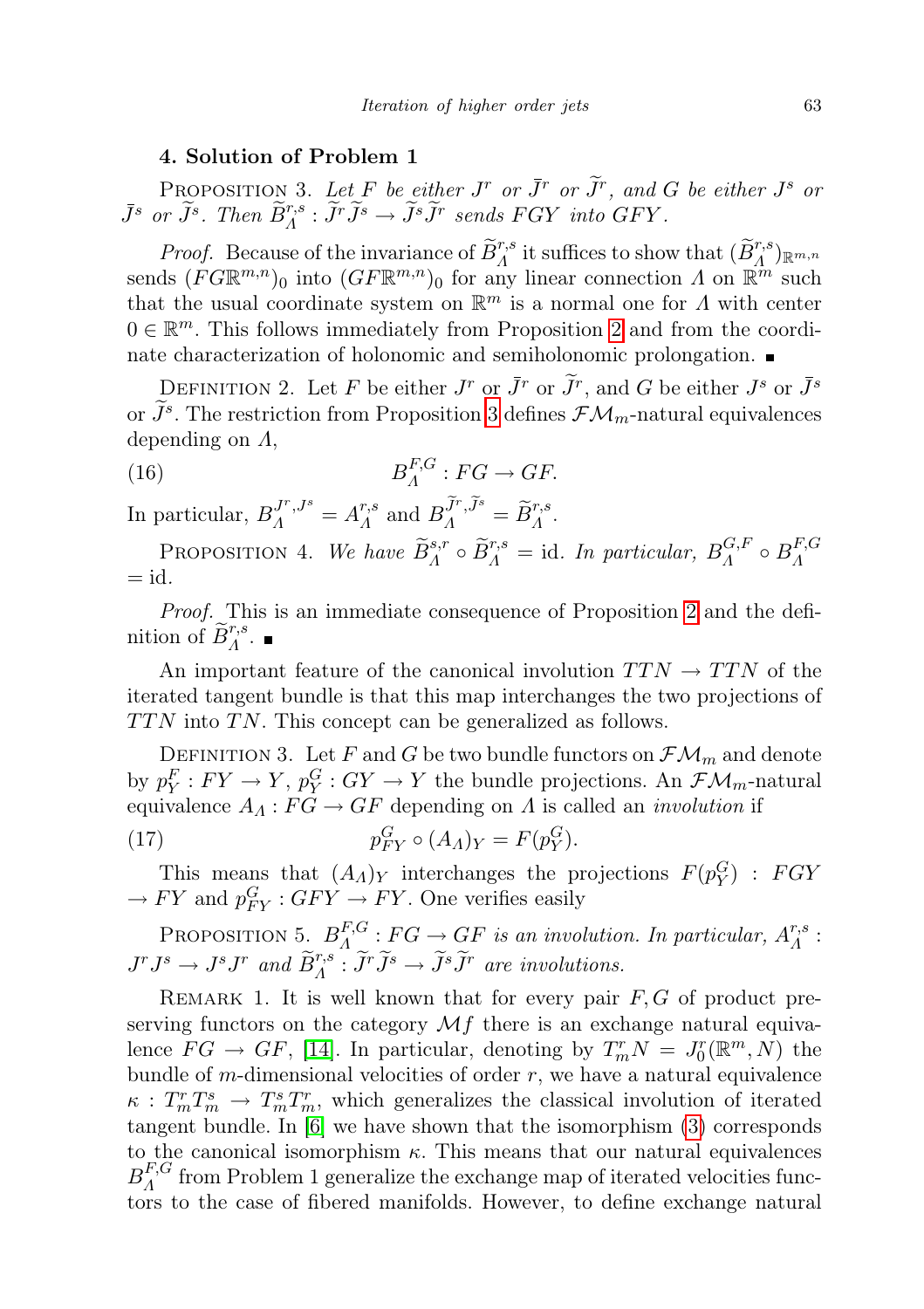## 4. Solution of Problem 1

<span id="page-8-0"></span>PROPOSITION 3. Let F be either  $J^r$  or  $\tilde{J}^r$  or  $\tilde{J}^r$ , and G be either  $J^s$  or  $\bar{J}^s$  or  $\widetilde{J}^s$ . Then  $\widetilde{B}^{r,s}_\Lambda : \widetilde{J}^r \widetilde{J}^s \to \widetilde{J}^s \widetilde{J}^r$  sends FGY into GFY.

*Proof.* Because of the invariance of  $\widetilde{B}_{A}^{r,s}$  it suffices to show that  $(\widetilde{B}_{A}^{r,s})_{\mathbb{R}^{m,n}}$ sends  $(FG\mathbb{R}^{m,n})_0$  into  $(GF\mathbb{R}^{m,n})_0$  for any linear connection  $\Lambda$  on  $\mathbb{R}^m$  such that the usual coordinate system on  $\mathbb{R}^m$  is a normal one for  $\Lambda$  with center  $0 \in \mathbb{R}^m$ . This follows immediately from Proposition [2](#page-7-1) and from the coordinate characterization of holonomic and semiholonomic prolongation.

DEFINITION 2. Let F be either  $J^r$  or  $\overline{J}^r$  or  $\overline{J}^r$ , and G be either  $J^s$  or  $\overline{J}^s$ or  $J^s$ . The restriction from Proposition [3](#page-8-0) defines  $\mathcal{FM}_m$ -natural equivalences depending on Λ,

<span id="page-8-1"></span>(16) 
$$
B_A^{F,G}:FG\to GF.
$$

In particular,  $B_A^{J^r, J^s} = A_A^{r,s}$  $L_A^{r,s}$  and  $B_A^{\widetilde{J}^r,\widetilde{J}^s} = \widetilde{B}_A^{r,s}.$ 

PROPOSITION 4. We have  $\widetilde{B}_{A}^{s,r} \circ \widetilde{B}_{A}^{r,s} = id$ . In particular,  $B_{A}^{G,F}$  $B_A^{G,F} \circ B_A^{F,G}$ Λ  $=$  id.

Proof. This is an immediate consequence of Proposition [2](#page-7-1) and the definition of  $\widetilde{B}_{\Lambda}^{r,s}$ .

An important feature of the canonical involution  $TTN \rightarrow TTN$  of the iterated tangent bundle is that this map interchanges the two projections of  $TTN$  into TN. This concept can be generalized as follows.

DEFINITION 3. Let F and G be two bundle functors on  $\mathcal{FM}_m$  and denote by  $p_Y^F: FY \to Y$ ,  $p_Y^G: GY \to Y$  the bundle projections. An  $\mathcal{FM}_m$ -natural equivalence  $A_A : FG \to GF$  depending on  $\Lambda$  is called an *involution* if

(17) 
$$
p_{FY}^G \circ (A_A)_Y = F(p_Y^G).
$$

This means that  $(A_A)_Y$  interchanges the projections  $F(p_Y^G)$ : FGY  $\rightarrow FY$  and  $p_{FY}^G : GFY \rightarrow FY$ . One verifies easily

<span id="page-8-2"></span>PROPOSITION 5.  $B_A^{F,G}$  $A^{F,G}_A : FG \to GF$  is an involution. In particular,  $A^{r,s}_A$  $\frac{r,s}{\varLambda}$  :  $J^rJ^s \to J^sJ^r$  and  $\widetilde{B}^{r,s}_\Lambda : \widetilde{J}^r\widetilde{J}^s \to \widetilde{J}^s\widetilde{J}^r$  are involutions.

REMARK 1. It is well known that for every pair  $F, G$  of product preserving functors on the category  $\mathcal{M}f$  there is an exchange natural equivalence  $FG \rightarrow GF$ , [\[14\]](#page-20-1). In particular, denoting by  $T_m^r N = J_0^r(\mathbb{R}^m, N)$  the bundle of m-dimensional velocities of order  $r$ , we have a natural equivalence  $\kappa$ :  $T_m^r T_m^s \rightarrow T_m^s T_m^r$ , which generalizes the classical involution of iterated tangent bundle. In [\[6\]](#page-19-3) we have shown that the isomorphism [\(3\)](#page-3-3) corresponds to the canonical isomorphism  $\kappa$ . This means that our natural equivalences  $B^{F,G}_A$  $\Lambda^{\prime}$  from Problem 1 generalize the exchange map of iterated velocities functors to the case of fibered manifolds. However, to define exchange natural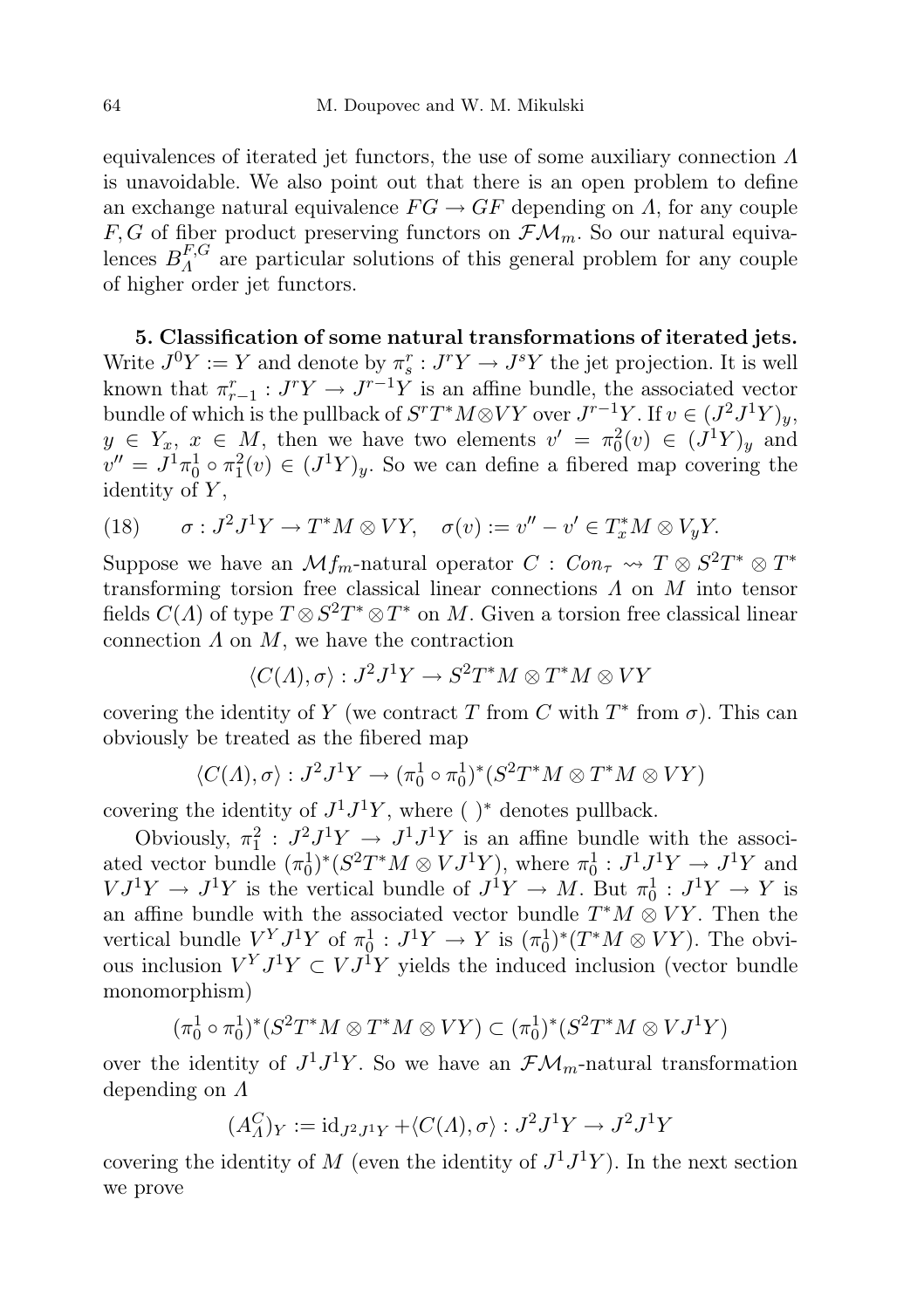equivalences of iterated jet functors, the use of some auxiliary connection  $\Lambda$ is unavoidable. We also point out that there is an open problem to define an exchange natural equivalence  $FG \rightarrow GF$  depending on  $\Lambda$ , for any couple  $F, G$  of fiber product preserving functors on  $\mathcal{FM}_m$ . So our natural equivalences  $B_A^{F,G}$  $A^{\prime\prime}$  are particular solutions of this general problem for any couple of higher order jet functors.

5. Classification of some natural transformations of iterated jets. Write  $J^0 Y := Y$  and denote by  $\pi_s^r : J^r Y \to J^s Y$  the jet projection. It is well known that  $\pi_{r-1}^r : J^r Y \to J^{r-1} Y$  is an affine bundle, the associated vector bundle of which is the pullback of  $S^rT^*M{\mathord{ \otimes } } VY$  over  $J^{r-1}Y$ . If  $v\in (J^2J^1Y)_y,$  $y \in Y_x, x \in M$ , then we have two elements  $v' = \pi_0^2(v) \in (J^1Y)_y$  and  $v'' = J<sup>1</sup> \pi_0<sup>1</sup> \circ \pi_1<sup>2</sup>(v) \in (J<sup>1</sup>Y)<sub>y</sub>$ . So we can define a fibered map covering the identity of  $Y$ ,

<span id="page-9-1"></span>(18) 
$$
\sigma: J^2 J^1 Y \to T^* M \otimes V Y, \quad \sigma(v) := v'' - v' \in T_x^* M \otimes V_y Y.
$$

Suppose we have an  $\mathcal{M}f_m$ -natural operator  $C: Con_\tau \rightarrow T \otimes S^2T^* \otimes T^*$ transforming torsion free classical linear connections  $\Lambda$  on  $M$  into tensor fields  $C(\Lambda)$  of type  $T \otimes S^2T^* \otimes T^*$  on M. Given a torsion free classical linear connection  $\Lambda$  on  $M$ , we have the contraction

$$
\langle C(\Lambda), \sigma \rangle : J^2 J^1 Y \to S^2 T^* M \otimes T^* M \otimes V Y
$$

covering the identity of Y (we contract T from C with  $T^*$  from  $\sigma$ ). This can obviously be treated as the fibered map

$$
\langle C(\Lambda), \sigma \rangle : J^2 J^1 Y \to (\pi_0^1 \circ \pi_0^1)^* (S^2 T^* M \otimes T^* M \otimes V Y)
$$

covering the identity of  $J^1J^1Y$ , where ()<sup>\*</sup> denotes pullback.

Obviously,  $\pi_1^2$ :  $J^2 J^1 Y \rightarrow J^1 J^1 Y$  is an affine bundle with the associated vector bundle  $(\pi_0^1)^*(S^2T^*M \otimes VJ^1Y)$ , where  $\pi_0^1: J^1J^1Y \to J^1Y$  and  $VJ^1Y \to J^1Y$  is the vertical bundle of  $J^1Y \to M$ . But  $\pi_0^1 : J^1Y \to Y$  is an affine bundle with the associated vector bundle  $T^*M \otimes VY$ . Then the vertical bundle  $V^Y J^1 Y$  of  $\pi_0^1 : J^1 Y \to Y$  is  $(\pi_0^1)^* (T^* M \otimes V Y)$ . The obvious inclusion  $V^Y J^1 Y \subset V J^1 Y$  yields the induced inclusion (vector bundle monomorphism)

$$
(\pi_0^1 \circ \pi_0^1)^* (S^2 T^* M \otimes T^* M \otimes VY) \subset (\pi_0^1)^* (S^2 T^* M \otimes VJ^1 Y)
$$

over the identity of  $J^1J^1Y$ . So we have an  $\mathcal{F}\mathcal{M}_m$ -natural transformation depending on Λ

$$
(A_{\Lambda}^C)_Y := id_{J^2J^1Y} + \langle C(\Lambda), \sigma \rangle : J^2J^1Y \to J^2J^1Y
$$

<span id="page-9-0"></span>covering the identity of M (even the identity of  $J^1J^1Y$ ). In the next section we prove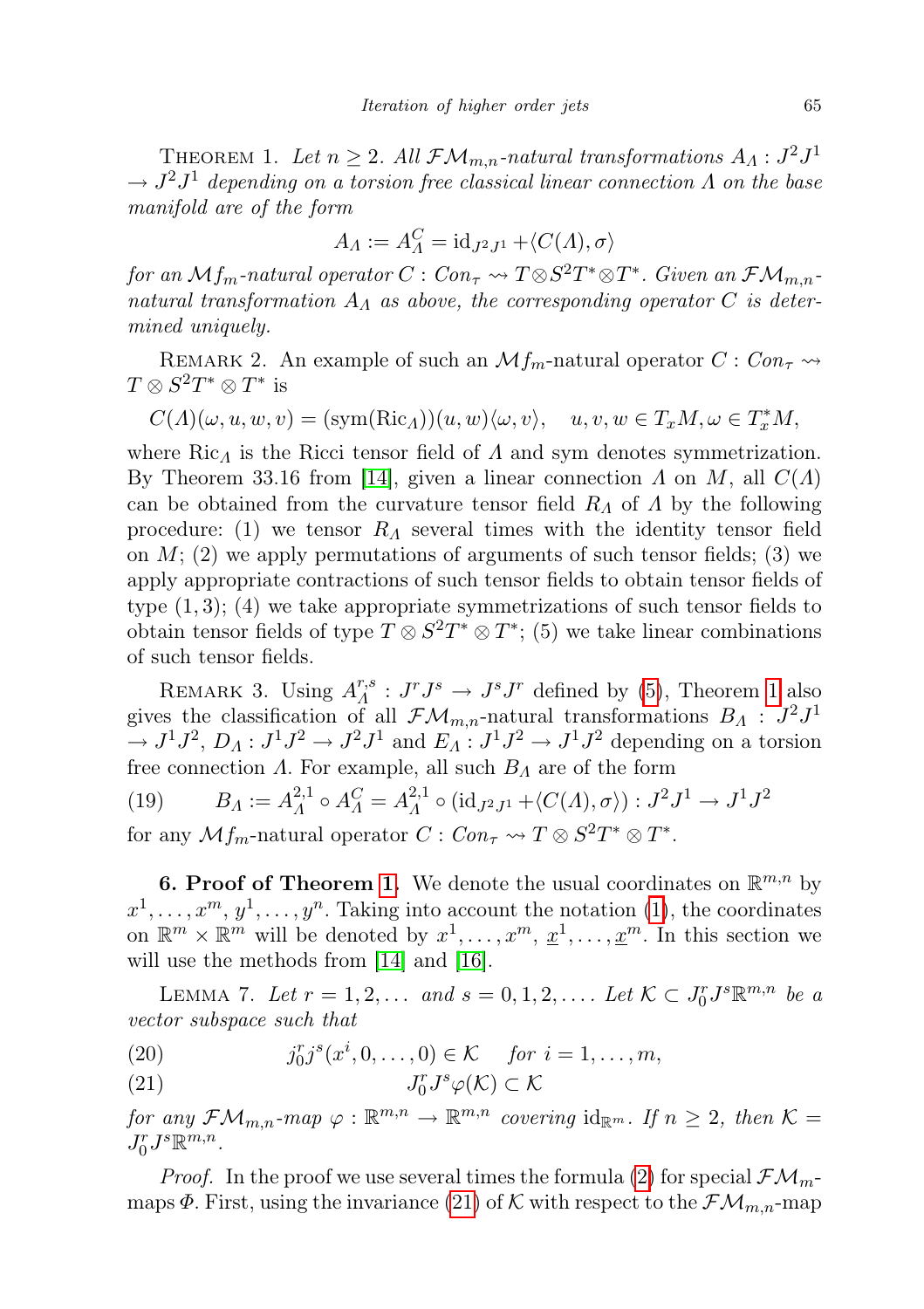THEOREM 1. Let  $n \geq 2$ . All  $\mathcal{FM}_{m,n}$ -natural transformations  $A_A: J^2J^1$  $\rightarrow J^2J^1$  depending on a torsion free classical linear connection  $\Lambda$  on the base manifold are of the form

$$
A_{\Lambda} := A_{\Lambda}^C = id_{J^2J^1} + \langle C(\Lambda), \sigma \rangle
$$

for an  $\mathcal{M}f_m$ -natural operator  $C: Con_\tau \leadsto T \otimes S^2T^* \otimes T^*$ . Given an  $\mathcal{FM}_{m,n}$ natural transformation  $A_{\Lambda}$  as above, the corresponding operator C is determined uniquely.

REMARK 2. An example of such an  $\mathcal{M}_{m}$ -natural operator  $C: Con_{\tau} \rightarrow$  $T \otimes S^2T^* \otimes T^*$  is

 $C(\Lambda)(\omega, u, w, v) = (\text{sym}(\text{Ric}_\Lambda))(u, w)\langle \omega, v\rangle, \quad u, v, w \in T_xM, \omega \in T_x^*M,$ 

where Ric<sub> $\Lambda$ </sub> is the Ricci tensor field of  $\Lambda$  and sym denotes symmetrization. By Theorem 33.16 from [\[14\]](#page-20-1), given a linear connection  $\Lambda$  on  $M$ , all  $C(\Lambda)$ can be obtained from the curvature tensor field  $R_A$  of  $\Lambda$  by the following procedure: (1) we tensor  $R_A$  several times with the identity tensor field on  $M$ ; (2) we apply permutations of arguments of such tensor fields; (3) we apply appropriate contractions of such tensor fields to obtain tensor fields of type  $(1, 3)$ ;  $(4)$  we take appropriate symmetrizations of such tensor fields to obtain tensor fields of type  $T \otimes S^2T^* \otimes T^*$ ; (5) we take linear combinations of such tensor fields.

REMARK 3. Using  $A^{r,s}_A$  $T_A^{r,s}: J^rJ^s \to J^sJ^r$  defined by [\(5\)](#page-3-2), Theorem [1](#page-9-0) also gives the classification of all  $\mathcal{F}\mathcal{M}_{m,n}$ -natural transformations  $B_A : J^2J^1$  $\to J^1J^2$ ,  $D_A: J^1J^2 \to J^2J^1$  and  $E_A: J^1J^2 \to J^1J^2$  depending on a torsion free connection  $\Lambda$ . For example, all such  $B_{\Lambda}$  are of the form

<span id="page-10-3"></span>(19)  $B_A := A_A^{2,1}$  $A^{(2,1)}_A \circ A^{(2)}_A = A^{(2,1)}_A$  $L_A^{2,1}\circ (\operatorname{id}_{J^2J^1}+\langle C(A), \sigma\rangle): J^2J^1\to J^1J^2$ 

for any  $\mathcal{M} f_m$ -natural operator  $C: Con_\tau \to T \otimes S^2T^* \otimes T^*$ .

**6. Proof of Theorem [1.](#page-9-0)** We denote the usual coordinates on  $\mathbb{R}^{m,n}$  by  $x^1, \ldots, x^m, y^1, \ldots, y^n$ . Taking into account the notation [\(1\)](#page-3-4), the coordinates on  $\mathbb{R}^m \times \mathbb{R}^m$  will be denoted by  $x^1, \ldots, x^m, \underline{x}^1, \ldots, \underline{x}^m$ . In this section we will use the methods from [\[14\]](#page-20-1) and [\[16\]](#page-20-13).

<span id="page-10-2"></span>LEMMA 7. Let  $r = 1, 2, \ldots$  and  $s = 0, 1, 2, \ldots$ . Let  $K \subset J_0^r J^s \mathbb{R}^{m,n}$  be a vector subspace such that

<span id="page-10-1"></span><span id="page-10-0"></span>(20) 
$$
j_0^r j^s(x^i, 0, ..., 0) \in \mathcal{K}
$$
 for  $i = 1, ..., m$ ,

 $(21)$  $L^r_0J^s\varphi(\mathcal{K})\subset \mathcal{K}$ 

for any  $\mathcal{FM}_{m,n}$ -map  $\varphi : \mathbb{R}^{m,n} \to \mathbb{R}^{m,n}$  covering  $\mathrm{id}_{\mathbb{R}^m}$ . If  $n \geq 2$ , then  $\mathcal{K} =$  $J_0^r J^s \mathbb{R}^{m,n}.$ 

*Proof.* In the proof we use several times the formula [\(2\)](#page-3-5) for special  $\mathcal{F}\mathcal{M}_m$ maps  $\Phi$ . First, using the invariance [\(21\)](#page-10-0) of K with respect to the  $\mathcal{FM}_{m,n}$ -map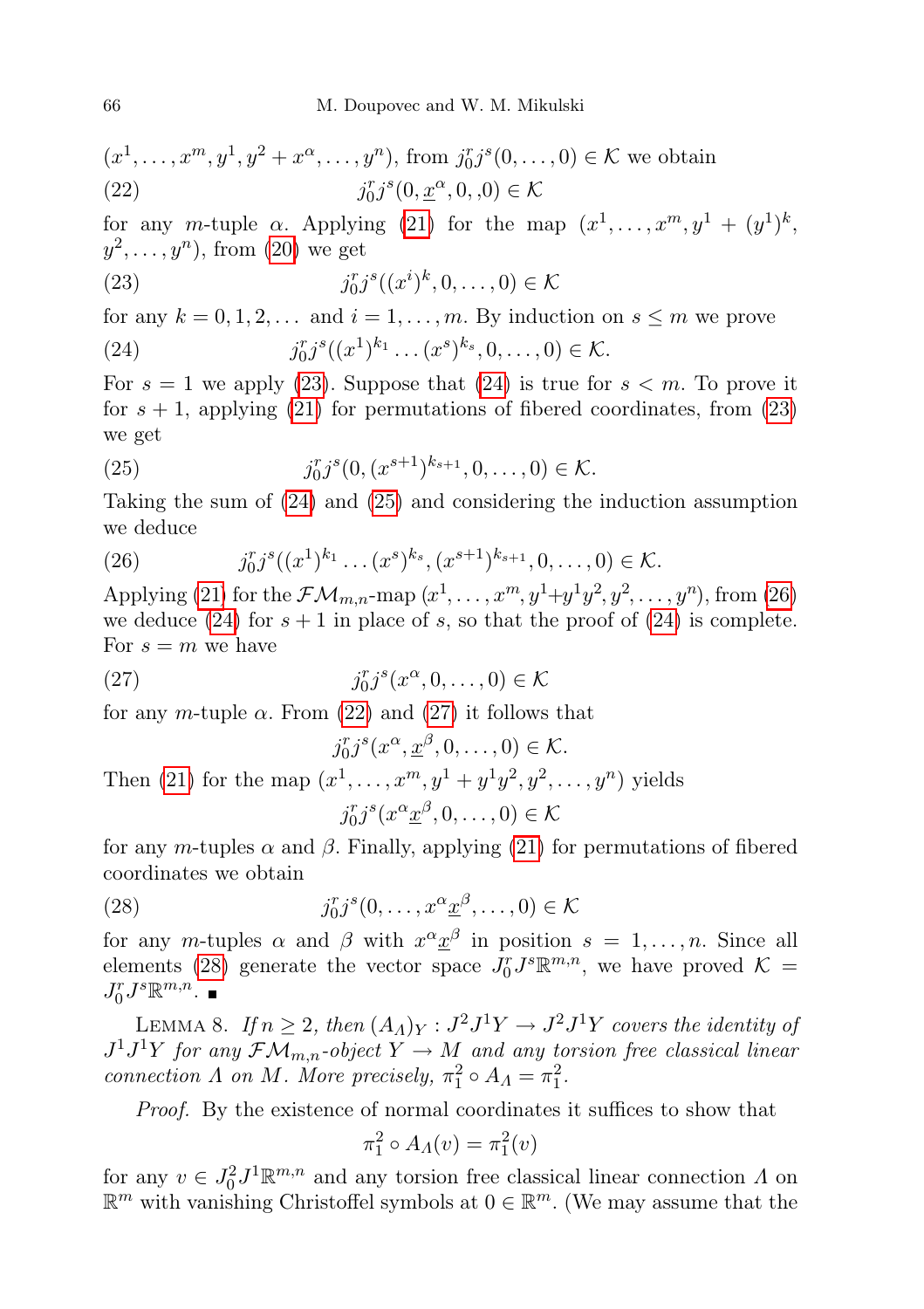<span id="page-11-4"></span>
$$
(x^1, \ldots, x^m, y^1, y^2 + x^{\alpha}, \ldots, y^n), \text{ from } j_0^r j^s (0, \ldots, 0) \in \mathcal{K} \text{ we obtain}
$$
  
(22)  $j_0^r j^s (0, \underline{x}^{\alpha}, 0, 0) \in \mathcal{K}$ 

for any m-tuple  $\alpha$ . Applying [\(21\)](#page-10-0) for the map  $(x^1, \ldots, x^m, y^1 + (y^1)^k,$  $y^2, \ldots, y^n$ , from  $(20)$  we get

<span id="page-11-0"></span>(23) 
$$
j_0^r j^s((x^i)^k, 0, \dots, 0) \in \mathcal{K}
$$

for any  $k = 0, 1, 2, \ldots$  and  $i = 1, \ldots, m$ . By induction on  $s \leq m$  we prove

<span id="page-11-1"></span>(24) 
$$
j_0^r j^s((x^1)^{k_1} \dots (x^s)^{k_s}, 0, \dots, 0) \in \mathcal{K}.
$$

For  $s = 1$  we apply [\(23\)](#page-11-0). Suppose that [\(24\)](#page-11-1) is true for  $s < m$ . To prove it for  $s + 1$ , applying [\(21\)](#page-10-0) for permutations of fibered coordinates, from [\(23\)](#page-11-0) we get

<span id="page-11-2"></span>(25) 
$$
j_0^r j^s (0, (x^{s+1})^{k_{s+1}}, 0, \ldots, 0) \in \mathcal{K}.
$$

Taking the sum of [\(24\)](#page-11-1) and [\(25\)](#page-11-2) and considering the induction assumption we deduce

<span id="page-11-3"></span>(26) 
$$
j_0^r j^s((x^1)^{k_1} \dots (x^s)^{k_s}, (x^{s+1})^{k_{s+1}}, 0, \dots, 0) \in \mathcal{K}.
$$

Applying [\(21\)](#page-10-0) for the  $\mathcal{F}\mathcal{M}_{m,n}$ -map  $(x^1, \ldots, x^m, y^1+y^1y^2, y^2, \ldots, y^n)$ , from [\(26\)](#page-11-3) we deduce [\(24\)](#page-11-1) for  $s + 1$  in place of s, so that the proof of (24) is complete. For  $s = m$  we have

<span id="page-11-5"></span>(27) 
$$
j_0^r j^s(x^\alpha, 0, \dots, 0) \in \mathcal{K}
$$

for any m-tuple  $\alpha$ . From [\(22\)](#page-11-4) and [\(27\)](#page-11-5) it follows that

$$
j_0^r j^s(x^\alpha, \underline{x}^\beta, 0, \dots, 0) \in \mathcal{K}.
$$
  
Then (21) for the map  $(x^1, \dots, x^m, y^1 + y^1 y^2, y^2, \dots, y^n)$  yields  

$$
j_0^r j^s(x^\alpha \underline{x}^\beta, 0, \dots, 0) \in \mathcal{K}
$$

for any m-tuples  $\alpha$  and  $\beta$ . Finally, applying [\(21\)](#page-10-0) for permutations of fibered coordinates we obtain

<span id="page-11-6"></span>(28) 
$$
j_0^r j^s (0, \ldots, x^{\alpha} \underline{x}^{\beta}, \ldots, 0) \in \mathcal{K}
$$

for any m-tuples  $\alpha$  and  $\beta$  with  $x^{\alpha} \underline{x}^{\beta}$  in position  $s = 1, \ldots, n$ . Since all elements [\(28\)](#page-11-6) generate the vector space  $J_0^r J^s \mathbb{R}^{m,n}$ , we have proved  $\mathcal{K} =$  $J_0^r J^s \mathbb{R}^{m,n}$ .

<span id="page-11-7"></span>LEMMA 8. If  $n \geq 2$ , then  $(A_{\Lambda})_Y : J^2 J^1 Y \to J^2 J^1 Y$  covers the identity of  $J^1J^1Y$  for any  $\mathcal{FM}_{m,n}$ -object  $Y \to M$  and any torsion free classical linear connection  $\Lambda$  on  $M$ . More precisely,  $\pi_1^2 \circ A_{\Lambda} = \pi_1^2$ .

Proof. By the existence of normal coordinates it suffices to show that

$$
\pi_1^2 \circ A_\Lambda(v) = \pi_1^2(v)
$$

for any  $v \in J_0^2 J^1 \mathbb{R}^{m,n}$  and any torsion free classical linear connection  $\Lambda$  on  $\mathbb{R}^m$  with vanishing Christoffel symbols at  $0 \in \mathbb{R}^m$ . (We may assume that the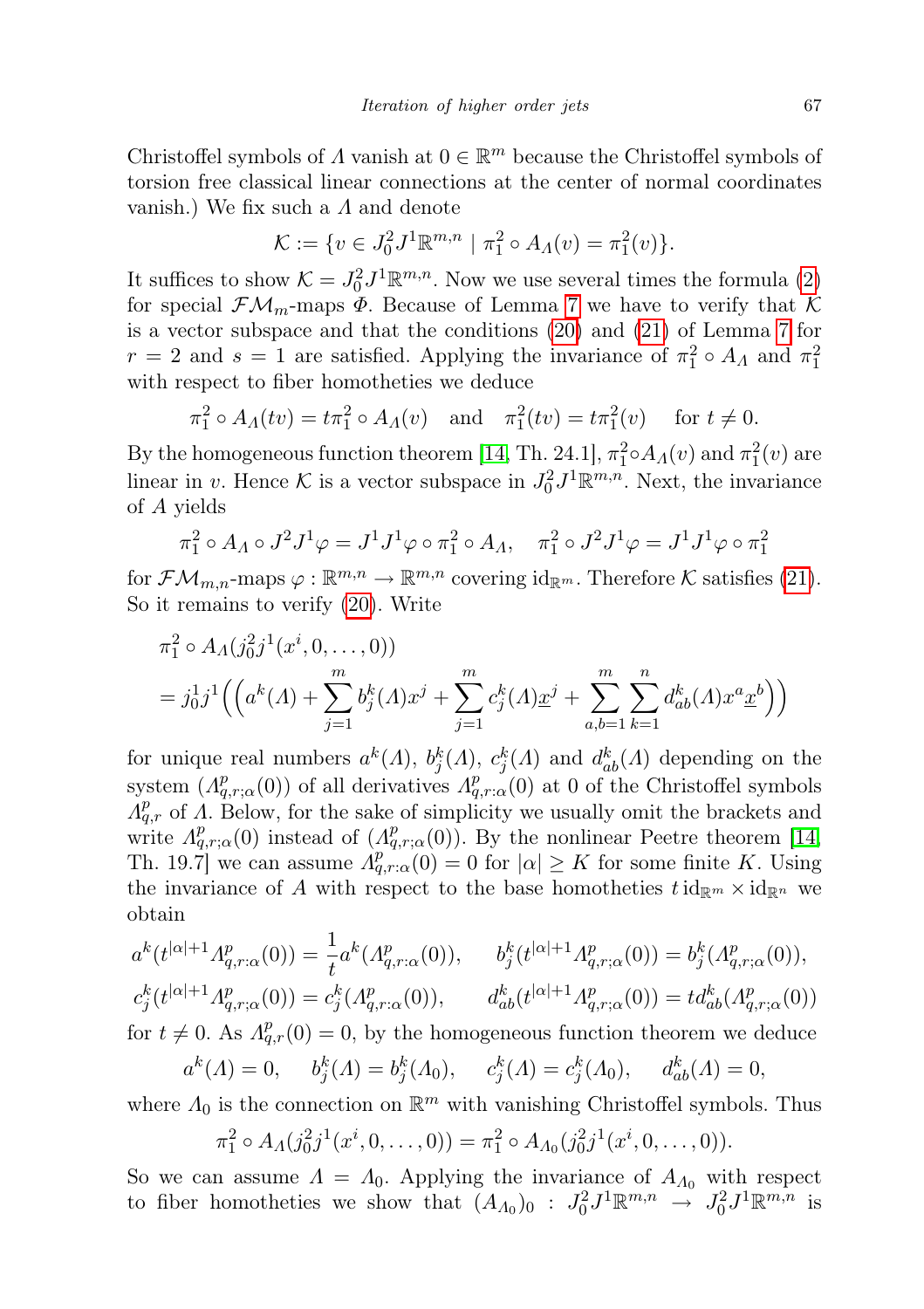Christoffel symbols of  $\Lambda$  vanish at  $0 \in \mathbb{R}^m$  because the Christoffel symbols of torsion free classical linear connections at the center of normal coordinates vanish.) We fix such a  $\Lambda$  and denote

$$
\mathcal{K} := \{ v \in J_0^2 J^1 \mathbb{R}^{m,n} \mid \pi_1^2 \circ A_\Lambda(v) = \pi_1^2(v) \}.
$$

It suffices to show  $\mathcal{K} = J_0^2 J^1 \mathbb{R}^{m,n}$ . Now we use several times the formula [\(2\)](#page-3-5) for special  $\mathcal{F}\mathcal{M}_m$ -maps  $\Phi$ . Because of Lemma [7](#page-10-2) we have to verify that K is a vector subspace and that the conditions [\(20\)](#page-10-1) and [\(21\)](#page-10-0) of Lemma [7](#page-10-2) for  $r = 2$  and  $s = 1$  are satisfied. Applying the invariance of  $\pi_1^2 \circ A_\Lambda$  and  $\pi_1^2$ with respect to fiber homotheties we deduce

 $\pi_1^2 \circ A_\Lambda(tv) = t \pi_1^2 \circ A_\Lambda(v)$  and  $\pi_1^2(tv) = t \pi_1^2(v)$  for  $t \neq 0$ .

By the homogeneous function theorem [\[14,](#page-20-1) Th. 24.1],  $\pi_1^2 \circ A_A(v)$  and  $\pi_1^2(v)$  are linear in v. Hence K is a vector subspace in  $J_0^2 J^1 \mathbb{R}^{m,n}$ . Next, the invariance of A yields

$$
\pi_1^2 \circ A_{\Lambda} \circ J^2 J^1 \varphi = J^1 J^1 \varphi \circ \pi_1^2 \circ A_{\Lambda}, \quad \pi_1^2 \circ J^2 J^1 \varphi = J^1 J^1 \varphi \circ \pi_1^2
$$

for  $\mathcal{FM}_{m,n}$ -maps  $\varphi : \mathbb{R}^{m,n} \to \mathbb{R}^{m,n}$  covering  $id_{\mathbb{R}^m}$ . Therefore K satisfies [\(21\)](#page-10-0). So it remains to verify [\(20\)](#page-10-1). Write

$$
\pi_1^2 \circ A_\Lambda(j_0^2 j^1(x^i, 0, ..., 0))
$$
  
=  $j_0^1 j^1 \Big( \Big( a^k(\Lambda) + \sum_{j=1}^m b_j^k(\Lambda) x^j + \sum_{j=1}^m c_j^k(\Lambda) x^j + \sum_{a,b=1}^m \sum_{k=1}^n d_{ab}^k(\Lambda) x^a \underline{x}^b \Big) \Big)$ 

for unique real numbers  $a^k(\Lambda)$ ,  $b_j^k(\Lambda)$ ,  $c_j^k(\Lambda)$  and  $d_{ab}^k(\Lambda)$  depending on the system  $(A_{q,r;\alpha}^p(0))$  of all derivatives  $A_{q,r;\alpha}^p(0)$  at 0 of the Christoffel symbols  $A_{q,r}^p$  of  $\Lambda$ . Below, for the sake of simplicity we usually omit the brackets and write  $A_{q,r;\alpha}^p(0)$  instead of  $(A_{q,r;\alpha}^p(0))$ . By the nonlinear Peetre theorem [\[14,](#page-20-1) Th. 19.7] we can assume  $A_{q,r;\alpha}^{p} (0) = 0$  for  $|\alpha| \geq K$  for some finite K. Using the invariance of A with respect to the base homotheties  $t \mathrm{id}_{\mathbb{R}^m} \times \mathrm{id}_{\mathbb{R}^n}$  we obtain

$$
a^{k}(t^{|\alpha|+1}A_{q,r;\alpha}^{p}(0)) = \frac{1}{t}a^{k}(A_{q,r;\alpha}^{p}(0)), \qquad b_{j}^{k}(t^{|\alpha|+1}A_{q,r;\alpha}^{p}(0)) = b_{j}^{k}(A_{q,r;\alpha}^{p}(0)),
$$
  

$$
b_{k}(t^{|\alpha|+1},t^{n},\ldots)
$$

$$
c_j^k(t^{|\alpha|+1}A_{q,r;\alpha}^p(0)) = c_j^k(A_{q,r;\alpha}^p(0)), \qquad d_{ab}^k(t^{|\alpha|+1}A_{q,r;\alpha}^p(0)) = td_{ab}^k(A_{q,r;\alpha}^p(0))
$$
  
for  $t \neq 0$ . As  $A_{q,r}^p(0) = 0$ , by the homogeneous function theorem we deduce

$$
a^k(\Lambda) = 0
$$
,  $b_j^k(\Lambda) = b_j^k(\Lambda_0)$ ,  $c_j^k(\Lambda) = c_j^k(\Lambda_0)$ ,  $d_{ab}^k(\Lambda) = 0$ ,

where  $\Lambda_0$  is the connection on  $\mathbb{R}^m$  with vanishing Christoffel symbols. Thus

$$
\pi_1^2 \circ A_{\Lambda}(j_0^2 j^1(x^i, 0, \ldots, 0)) = \pi_1^2 \circ A_{\Lambda_0}(j_0^2 j^1(x^i, 0, \ldots, 0)).
$$

So we can assume  $\Lambda = \Lambda_0$ . Applying the invariance of  $A_{\Lambda_0}$  with respect to fiber homotheties we show that  $(A_{A_0})_0$ :  $J_0^2 J^1 \mathbb{R}^{m,n} \to J_0^2 J^1 \mathbb{R}^{m,n}$  is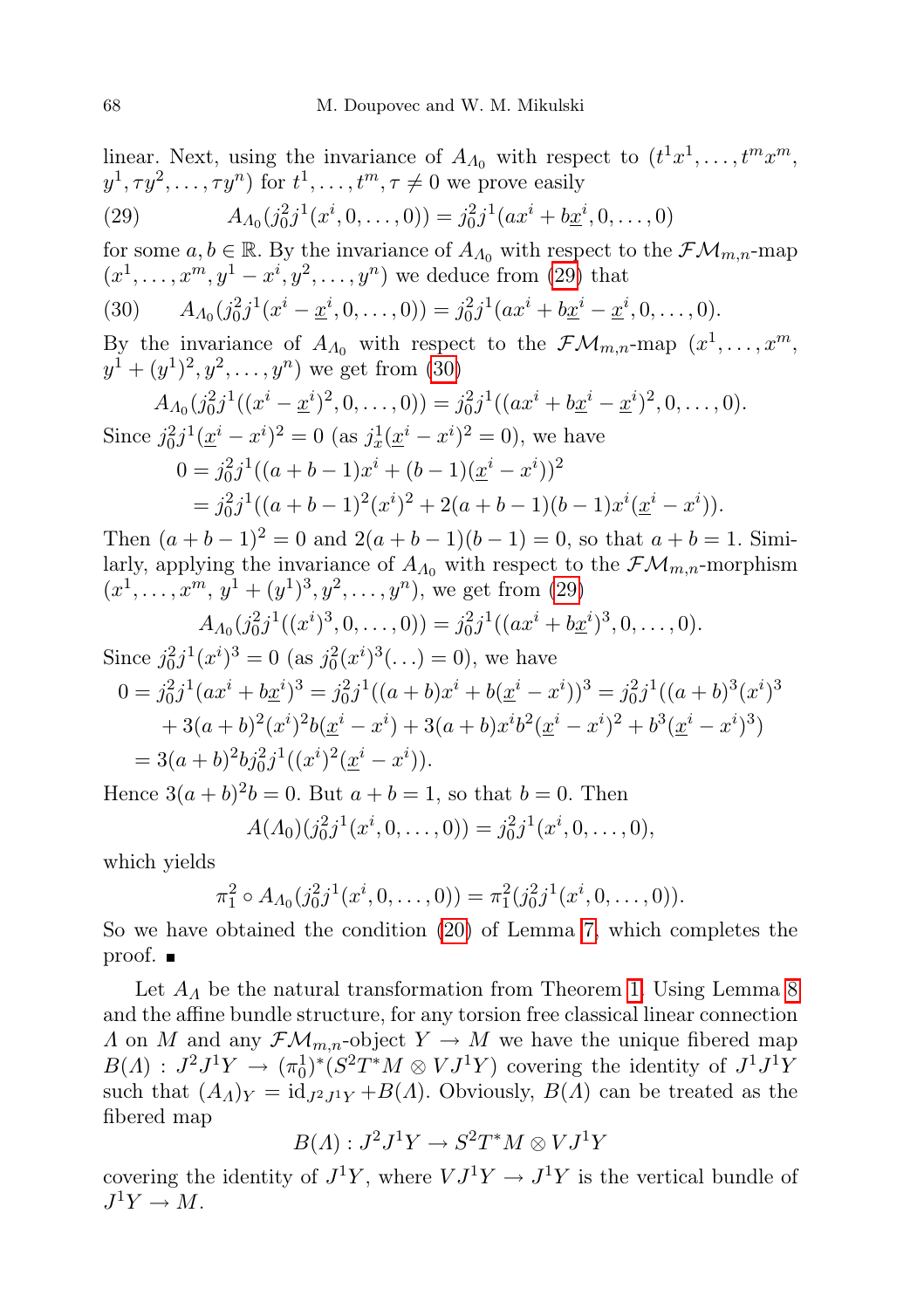linear. Next, using the invariance of  $A_{\Lambda_0}$  with respect to  $(t^1x^1, \ldots, t^mx^m,$  $y^1, \tau y^2, \ldots, \tau y^n)$  for  $t^1, \ldots, t^m, \tau \neq 0$  we prove easily

<span id="page-13-0"></span>(29) 
$$
A_{A_0}(j_0^2 j^1(x^i, 0, ..., 0)) = j_0^2 j^1(ax^i + bx^i, 0, ..., 0)
$$

for some  $a, b \in \mathbb{R}$ . By the invariance of  $A_{\Lambda_0}$  with respect to the  $\mathcal{FM}_{m,n}$ -map  $(x^{1},...,x^{m},y^{1}-x^{i},y^{2},...,y^{n})$  we deduce from [\(29\)](#page-13-0) that

<span id="page-13-1"></span>(30) 
$$
A_{A_0}(j_0^2 j^1(x^i - \underline{x}^i, 0, \dots, 0)) = j_0^2 j^1(ax^i + b\underline{x}^i - \underline{x}^i, 0, \dots, 0).
$$

By the invariance of  $A_{\Lambda_0}$  with respect to the  $\mathcal{FM}_{m,n}$ -map  $(x^1,\ldots,x^m,$  $y^1 + (y^1)^2, y^2, \ldots, y^n$  we get from [\(30\)](#page-13-1)

$$
A_{A_0}(j_0^2 j^1((x^i - \underline{x}^i)^2, 0, \dots, 0)) = j_0^2 j^1((ax^i + bx^i - \underline{x}^i)^2, 0, \dots, 0).
$$
  
Since  $j_0^2 j^1(\underline{x}^i - x^i)^2 = 0$  (as  $j_x^1(\underline{x}^i - x^i)^2 = 0$ ), we have  

$$
0 = j_0^2 j^1((a + b - 1)x^i + (b - 1)(\underline{x}^i - x^i))^2
$$

$$
= j_0^2 j^1((a + b - 1)^2(x^i)^2 + 2(a + b - 1)(b - 1)x^i(\underline{x}^i - x^i)).
$$

Then  $(a + b - 1)^2 = 0$  and  $2(a + b - 1)(b - 1) = 0$ , so that  $a + b = 1$ . Similarly, applying the invariance of  $A_{\Lambda_0}$  with respect to the  $\mathcal{FM}_{m,n}$ -morphism  $(x^1, \ldots, x^m, y^1 + (y^1)^3, y^2, \ldots, y^n)$ , we get from [\(29\)](#page-13-0)

$$
A_{A_0}(j_0^2 j^1((x^i)^3, 0, \ldots, 0)) = j_0^2 j^1((ax^i + bx^i)^3, 0, \ldots, 0).
$$

Since  $j_0^2 j^1(x^i)^3 = 0$  (as  $j_0^2(x^i)^3(\ldots) = 0$ ), we have

$$
0 = j_0^2 j^1 (ax^i + bx^i)^3 = j_0^2 j^1 ((a + b)x^i + b(\underline{x}^i - x^i))^3 = j_0^2 j^1 ((a + b)^3 (x^i)^3
$$
  
+ 3(a + b)<sup>2</sup>(x<sup>i</sup>)<sup>2</sup>b(x<sup>i</sup> - x<sup>i</sup>) + 3(a + b)x<sup>i</sup>b<sup>2</sup>(x<sup>i</sup> - x<sup>i</sup>)<sup>2</sup> + b<sup>3</sup>(x<sup>i</sup> - x<sup>i</sup>)<sup>3</sup>)  
= 3(a + b)<sup>2</sup>b<sub>j</sub>^2 j^1 ((x<sup>i</sup>)<sup>2</sup>(\underline{x}^i - x^i)).

Hence  $3(a + b)^2 b = 0$ . But  $a + b = 1$ , so that  $b = 0$ . Then

$$
A(\Lambda_0)(j_0^2 j^1(x^i, 0, \ldots, 0)) = j_0^2 j^1(x^i, 0, \ldots, 0),
$$

which yields

$$
\pi_1^2 \circ A_{\Lambda_0}(j_0^2 j^1(x^i, 0, \ldots, 0)) = \pi_1^2(j_0^2 j^1(x^i, 0, \ldots, 0)).
$$

So we have obtained the condition [\(20\)](#page-10-1) of Lemma [7,](#page-10-2) which completes the proof.

Let  $A_{\Lambda}$  be the natural transformation from Theorem [1.](#page-9-0) Using Lemma [8](#page-11-7) and the affine bundle structure, for any torsion free classical linear connection  $\Lambda$  on M and any  $\mathcal{F}\mathcal{M}_{m,n}$ -object  $Y \to M$  we have the unique fibered map  $B(A) : J^2J^1Y \to (\pi_0^1)^*(S^2T^*M \otimes VJ^1Y)$  covering the identity of  $J^1J^1Y$ such that  $(A_A)_Y = id_{J^2J^1Y} + B(A)$ . Obviously,  $B(A)$  can be treated as the fibered map

$$
B(A): J2J1Y \to S2T*M \otimes VJ1Y
$$

<span id="page-13-2"></span>covering the identity of  $J^1Y$ , where  $VJ^1Y \rightarrow J^1Y$  is the vertical bundle of  $J^1Y \to M$ .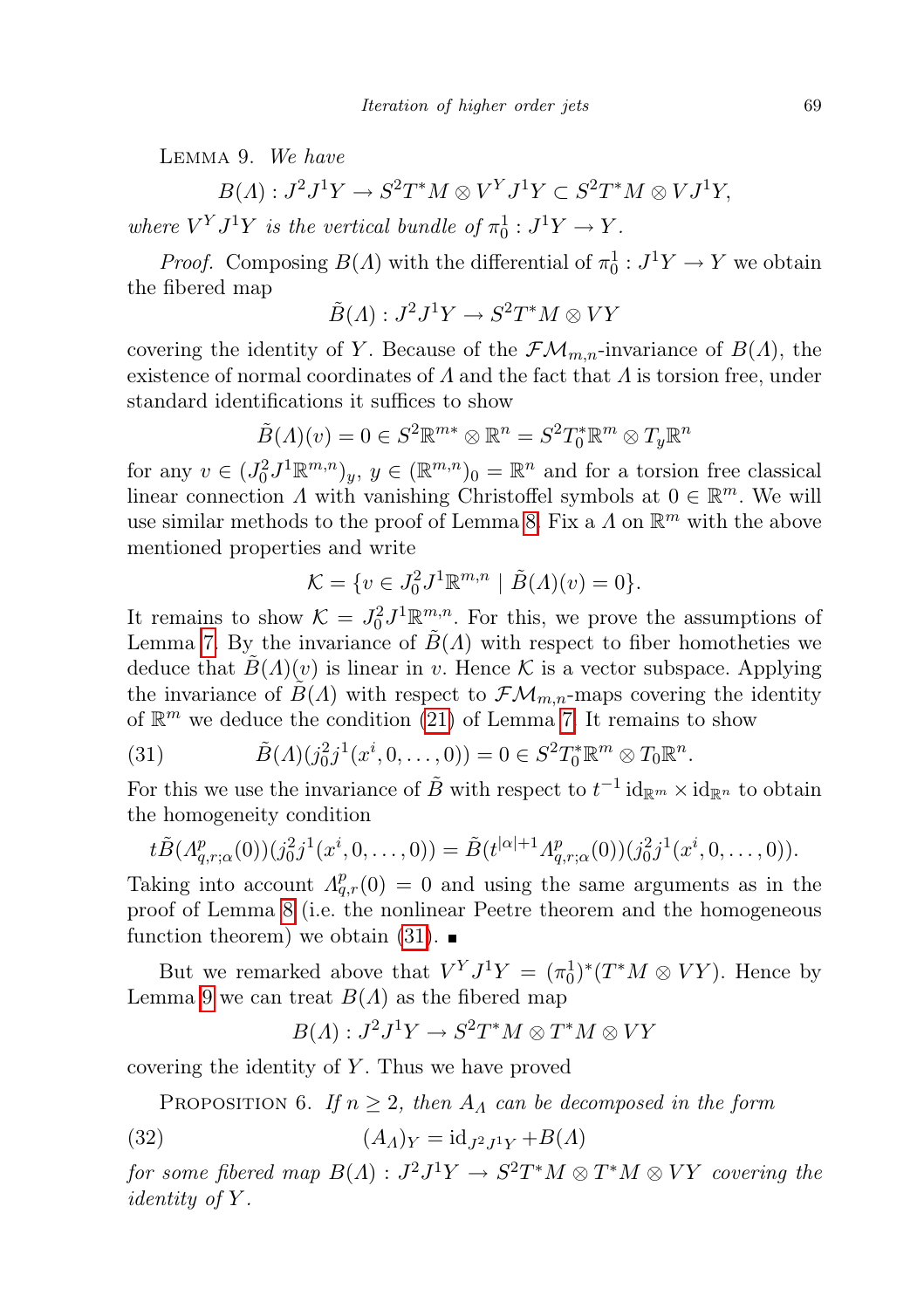Lemma 9. We have

$$
B(\Lambda): J^2J^1Y \to S^2T^*M \otimes V^YJ^1Y \subset S^2T^*M \otimes VJ^1Y,
$$

where  $V^Y J^1 Y$  is the vertical bundle of  $\pi_0^1 : J^1 Y \to Y$ .

*Proof.* Composing  $B(\Lambda)$  with the differential of  $\pi_0^1: J^1Y \to Y$  we obtain the fibered map

$$
\tilde{B}(A): J^2J^1Y \to S^2T^*M \otimes VY
$$

covering the identity of Y. Because of the  $\mathcal{F}\mathcal{M}_{m,n}$ -invariance of  $B(\Lambda)$ , the existence of normal coordinates of  $\Lambda$  and the fact that  $\Lambda$  is torsion free, under standard identifications it suffices to show

$$
\tilde{B}(\Lambda)(v) = 0 \in S^2 \mathbb{R}^{m*} \otimes \mathbb{R}^n = S^2 T_0^* \mathbb{R}^m \otimes T_y \mathbb{R}^n
$$

for any  $v \in (J_0^2 J^1 \mathbb{R}^{m,n})_y, y \in (\mathbb{R}^{m,n})_0 = \mathbb{R}^n$  and for a torsion free classical linear connection  $\Lambda$  with vanishing Christoffel symbols at  $0 \in \mathbb{R}^m$ . We will use similar methods to the proof of Lemma [8.](#page-11-7) Fix a  $\Lambda$  on  $\mathbb{R}^m$  with the above mentioned properties and write

$$
\mathcal{K} = \{ v \in J_0^2 J^1 \mathbb{R}^{m,n} \mid \tilde{B}(\Lambda)(v) = 0 \}.
$$

It remains to show  $\mathcal{K} = J_0^2 J^1 \mathbb{R}^{m,n}_{\sim}$ . For this, we prove the assumptions of Lemma [7.](#page-10-2) By the invariance of  $\tilde{B}(\Lambda)$  with respect to fiber homotheties we deduce that  $\tilde{B}(A)(v)$  is linear in v. Hence K is a vector subspace. Applying the invariance of  $B(A)$  with respect to  $\mathcal{F}\mathcal{M}_{m,n}$ -maps covering the identity of  $\mathbb{R}^m$  we deduce the condition [\(21\)](#page-10-0) of Lemma [7.](#page-10-2) It remains to show

<span id="page-14-0"></span>(31) 
$$
\tilde{B}(A)(j_0^2 j^1(x^i, 0, ..., 0)) = 0 \in S^2 T_0^* \mathbb{R}^m \otimes T_0 \mathbb{R}^n.
$$

For this we use the invariance of  $\tilde{B}$  with respect to  $t^{-1}$  id $_{\mathbb{R}^m} \times$  id $_{\mathbb{R}^n}$  to obtain the homogeneity condition

$$
t\tilde{B}(A_{q,r;\alpha}^p(0))(j_0^2j^1(x^i,0,\ldots,0))=\tilde{B}(t^{|\alpha|+1}A_{q,r;\alpha}^p(0))(j_0^2j^1(x^i,0,\ldots,0)).
$$

Taking into account  $A_{q,r}^p(0) = 0$  and using the same arguments as in the proof of Lemma [8](#page-11-7) (i.e. the nonlinear Peetre theorem and the homogeneous function theorem) we obtain  $(31)$ .

But we remarked above that  $V^Y J^1 Y = (\pi_0^1)^* (T^* M \otimes V Y)$ . Hence by Lemma [9](#page-13-2) we can treat  $B(\Lambda)$  as the fibered map

$$
B(A): J2J1Y \to S2T*M \otimes T*M \otimes VY
$$

<span id="page-14-1"></span>covering the identity of  $Y$ . Thus we have proved

PROPOSITION 6. If  $n \geq 2$ , then  $A_{\Lambda}$  can be decomposed in the form

$$
(32) \qquad (A_A)_Y = \mathrm{id}_{J^2 J^1 Y} + B(\Lambda)
$$

for some fibered map  $B(\Lambda) : J^2 J^1 Y \to S^2 T^* M \otimes T^* M \otimes VY$  covering the identity of Y.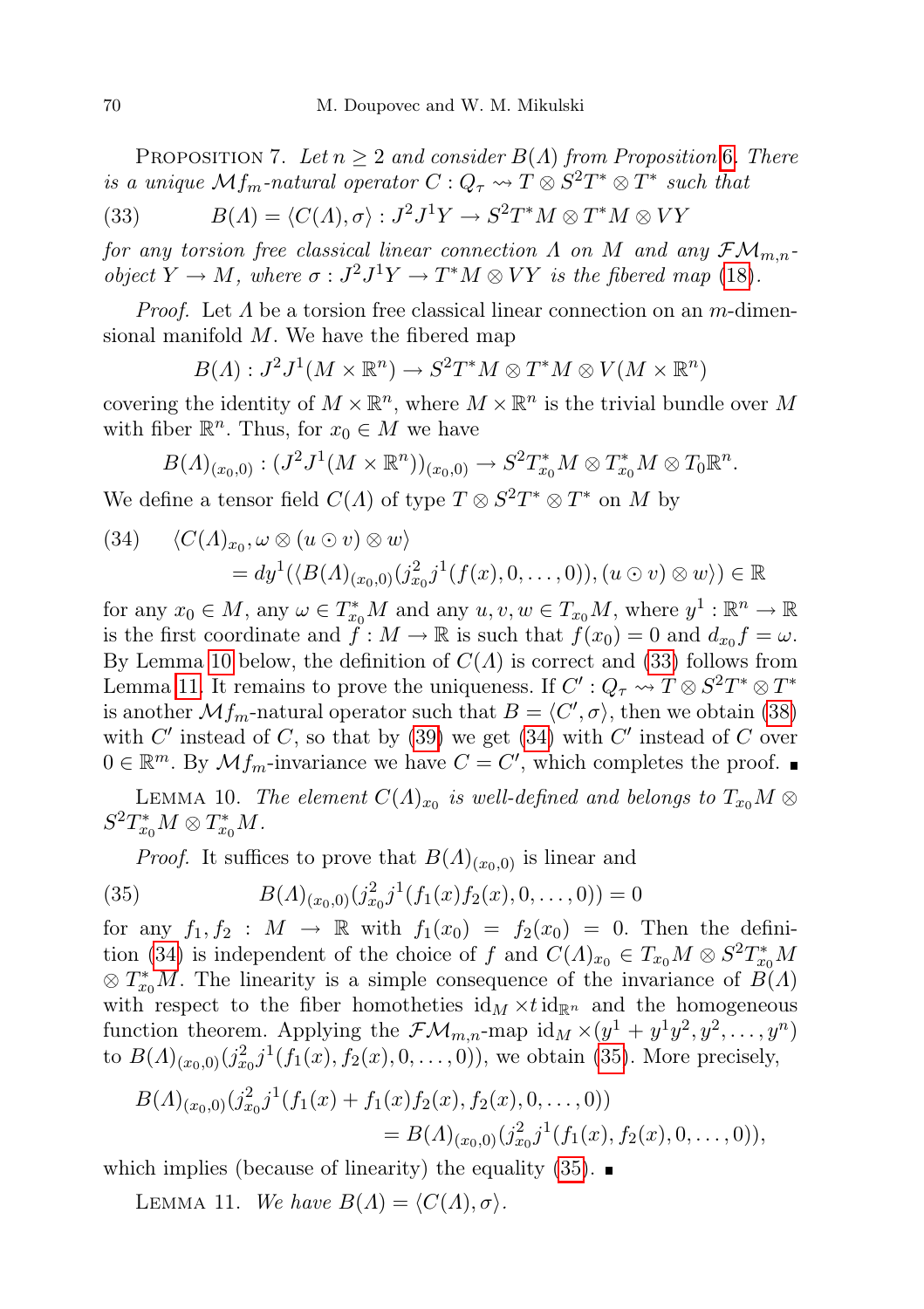PROPOSITION 7. Let  $n \geq 2$  and consider  $B(\Lambda)$  from Proposition [6](#page-14-1). There is a unique  $\mathcal{M}_{\mathit{fm}}$ -natural operator  $C: Q_{\tau} \leadsto T \otimes S^2T^* \otimes T^*$  such that

<span id="page-15-1"></span>(33) 
$$
B(A) = \langle C(A), \sigma \rangle : J^2 J^1 Y \to S^2 T^* M \otimes T^* M \otimes V Y
$$

for any torsion free classical linear connection  $\Lambda$  on  $M$  and any  $\mathcal{FM}_{m,n}$ . object  $Y \to M$ , where  $\sigma : J^2 J^1 Y \to T^* M \otimes V Y$  is the fibered map [\(18\)](#page-9-1).

*Proof.* Let  $\Lambda$  be a torsion free classical linear connection on an m-dimensional manifold  $M$ . We have the fibered map

$$
B(\Lambda): J^2J^1(M\times \mathbb{R}^n) \to S^2T^*M\otimes T^*M\otimes V(M\times \mathbb{R}^n)
$$

covering the identity of  $M \times \mathbb{R}^n$ , where  $M \times \mathbb{R}^n$  is the trivial bundle over M with fiber  $\mathbb{R}^n$ . Thus, for  $x_0 \in M$  we have

$$
B(\Lambda)_{(x_0,0)}:(J^2J^1(M\times\mathbb{R}^n))_{(x_0,0)}\to S^2T^*_{x_0}M\otimes T^*_{x_0}M\otimes T_0\mathbb{R}^n.
$$

We define a tensor field  $C(\Lambda)$  of type  $T \otimes S^2T^* \otimes T^*$  on M by

<span id="page-15-3"></span>(34) 
$$
\langle C(\Lambda)_{x_0}, \omega \otimes (u \odot v) \otimes w \rangle
$$
  
=  $dy^1(\langle B(\Lambda)_{(x_0,0)}(j_{x_0}^2 j^1(f(x), 0, \ldots, 0)), (u \odot v) \otimes w \rangle) \in \mathbb{R}$ 

for any  $x_0 \in M$ , any  $\omega \in T_{x_0}^*M$  and any  $u, v, w \in T_{x_0}M$ , where  $y^1 : \mathbb{R}^n \to \mathbb{R}$ is the first coordinate and  $\tilde{f}: M \to \mathbb{R}$  is such that  $f(x_0) = 0$  and  $d_{x_0} f = \omega$ . By Lemma [10](#page-15-0) below, the definition of  $C(\Lambda)$  is correct and [\(33\)](#page-15-1) follows from Lemma [11.](#page-15-2) It remains to prove the uniqueness. If  $C': Q_{\tau} \leadsto T \otimes S^2 T^* \otimes T^*$ is another  $\mathcal{M}_{\mathit{fm}}$ -natural operator such that  $B = \langle C', \sigma \rangle$ , then we obtain [\(38\)](#page-16-0) with  $C'$  instead of  $C$ , so that by [\(39\)](#page-16-1) we get [\(34\)](#page-15-3) with  $C'$  instead of  $C$  over  $0 \in \mathbb{R}^m$ . By  $\mathcal{M}f_m$ -invariance we have  $C = C'$ , which completes the proof.

<span id="page-15-0"></span>LEMMA 10. The element  $C(\Lambda)_{x_0}$  is well-defined and belongs to  $T_{x_0}M \otimes T_{x_0}M$  $S^2T_{x_0}^*M\otimes T_{x_0}^*M$ .

<span id="page-15-4"></span>*Proof.* It suffices to prove that  $B(\Lambda)_{(x_0,0)}$  is linear and

(35) 
$$
B(\Lambda)_{(x_0,0)}(j_{x_0}^2 j^1(f_1(x)f_2(x),0,\ldots,0)) = 0
$$

for any  $f_1, f_2 : M \rightarrow \mathbb{R}$  with  $f_1(x_0) = f_2(x_0) = 0$ . Then the defini-tion [\(34\)](#page-15-3) is independent of the choice of f and  $C(\Lambda)_{x_0} \in T_{x_0}M \otimes S^2T_{x_0}^*M$  $\otimes T_{x_0}^*M$ . The linearity is a simple consequence of the invariance of  $B(A)$ with respect to the fiber homotheties  $\mathrm{id}_M \times t \mathrm{id}_{\mathbb{R}^n}$  and the homogeneous function theorem. Applying the  $\mathcal{FM}_{m,n}$ -map id $_M \times (y^1 + y^1y^2, y^2, \dots, y^n)$ to  $B(\Lambda)_{(x_0,0)}(j_{x_0}^2j^1(f_1(x), f_2(x), 0, \ldots, 0)),$  we obtain [\(35\)](#page-15-4). More precisely,

$$
B(\Lambda)_{(x_0,0)}(j_{x_0}^2 j^1(f_1(x) + f_1(x)f_2(x), f_2(x), 0, \dots, 0))
$$
  
=  $B(\Lambda)_{(x_0,0)}(j_{x_0}^2 j^1(f_1(x), f_2(x), 0, \dots, 0)),$ 

<span id="page-15-2"></span>which implies (because of linearity) the equality  $(35)$ .

LEMMA 11. We have  $B(\Lambda) = \langle C(\Lambda), \sigma \rangle$ .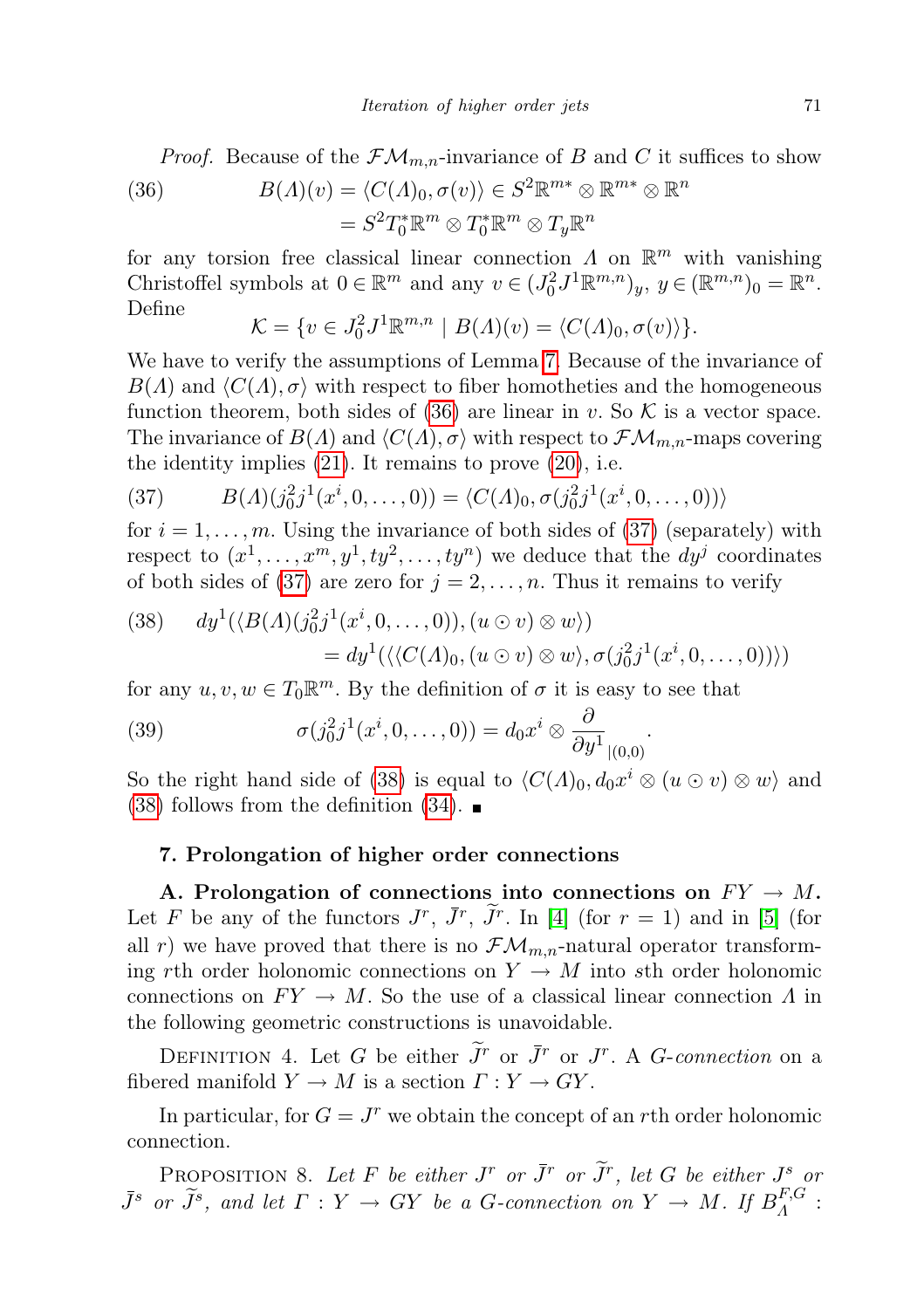<span id="page-16-2"></span>(36) 
$$
B(\Lambda)(v) = \langle C(\Lambda)_0, \sigma(v) \rangle \in S^2 \mathbb{R}^{m*} \otimes \mathbb{R}^{m*} \otimes \mathbb{R}^n
$$

$$
= S^2 T_0^* \mathbb{R}^m \otimes T_0^* \mathbb{R}^m \otimes T_y \mathbb{R}^n
$$

for any torsion free classical linear connection  $\Lambda$  on  $\mathbb{R}^m$  with vanishing Christoffel symbols at  $0 \in \mathbb{R}^m$  and any  $v \in (J_0^2 J^1 \mathbb{R}^{m,n})_y$ ,  $y \in (\mathbb{R}^{m,n})_0 = \mathbb{R}^n$ . Define

$$
\mathcal{K} = \{ v \in J_0^2 J^1 \mathbb{R}^{m,n} \mid B(\Lambda)(v) = \langle C(\Lambda)_0, \sigma(v) \rangle \}.
$$

We have to verify the assumptions of Lemma [7.](#page-10-2) Because of the invariance of  $B(\Lambda)$  and  $\langle C(\Lambda), \sigma \rangle$  with respect to fiber homotheties and the homogeneous function theorem, both sides of [\(36\)](#page-16-2) are linear in v. So  $\mathcal K$  is a vector space. The invariance of  $B(\Lambda)$  and  $\langle C(\Lambda), \sigma \rangle$  with respect to  $\mathcal{F}\mathcal{M}_{m,n}$ -maps covering the identity implies  $(21)$ . It remains to prove  $(20)$ , i.e.

<span id="page-16-3"></span>(37) 
$$
B(\Lambda)(j_0^2 j^1(x^i, 0, \dots, 0)) = \langle C(\Lambda)_0, \sigma(j_0^2 j^1(x^i, 0, \dots, 0)) \rangle
$$

for  $i = 1, \ldots, m$ . Using the invariance of both sides of [\(37\)](#page-16-3) (separately) with respect to  $(x^1, \ldots, x^m, y^1, ty^2, \ldots, ty^n)$  we deduce that the  $dy^j$  coordinates of both sides of [\(37\)](#page-16-3) are zero for  $j = 2, ..., n$ . Thus it remains to verify

<span id="page-16-0"></span>(38) 
$$
dy^{1}(\langle B(\Lambda)(j_{0}^{2}j^{1}(x^{i},0,\ldots,0)),(u\odot v)\otimes w\rangle)
$$

$$
= dy^{1}(\langle\langle C(\Lambda)_{0},(u\odot v)\otimes w\rangle,\sigma(j_{0}^{2}j^{1}(x^{i},0,\ldots,0))\rangle)
$$

for any  $u, v, w \in T_0 \mathbb{R}^m$ . By the definition of  $\sigma$  it is easy to see that

<span id="page-16-1"></span>(39) 
$$
\sigma(j_0^2 j^1(x^i, 0, \ldots, 0)) = d_0 x^i \otimes \frac{\partial}{\partial y^1}_{|(0,0)}.
$$

So the right hand side of [\(38\)](#page-16-0) is equal to  $\langle C(\Lambda)_0, d_0x^i \otimes (u \odot v) \otimes w \rangle$  and  $(38)$  follows from the definition  $(34)$ .

## 7. Prolongation of higher order connections

A. Prolongation of connections into connections on  $FY \to M$ . Let F be any of the functors  $J^r$ ,  $\bar{J}^r$ ,  $\tilde{J}^r$ . In [\[4\]](#page-19-8) (for  $r = 1$ ) and in [\[5\]](#page-19-9) (for all r) we have proved that there is no  $\mathcal{FM}_{m,n}$ -natural operator transforming rth order holonomic connections on  $Y \to M$  into sth order holonomic connections on  $FY \to M$ . So the use of a classical linear connection  $\Lambda$  in the following geometric constructions is unavoidable.

DEFINITION 4. Let G be either  $\widetilde{J}^r$  or  $\overline{J}^r$  or  $J^r$ . A G-connection on a fibered manifold  $Y \to M$  is a section  $\Gamma: Y \to GY$ .

In particular, for  $G = J^r$  we obtain the concept of an rth order holonomic connection.

PROPOSITION 8. Let F be either  $J^r$  or  $\tilde{J}^r$  or  $\tilde{J}^r$ , let G be either  $J^s$  or  $\bar{J}^s$  or  $\tilde{J}^s$ , and let  $\Gamma: Y \to GY$  be a G-connection on  $Y \to M$ . If  $B^{F,G}_A$  $\frac{d}{d}$ :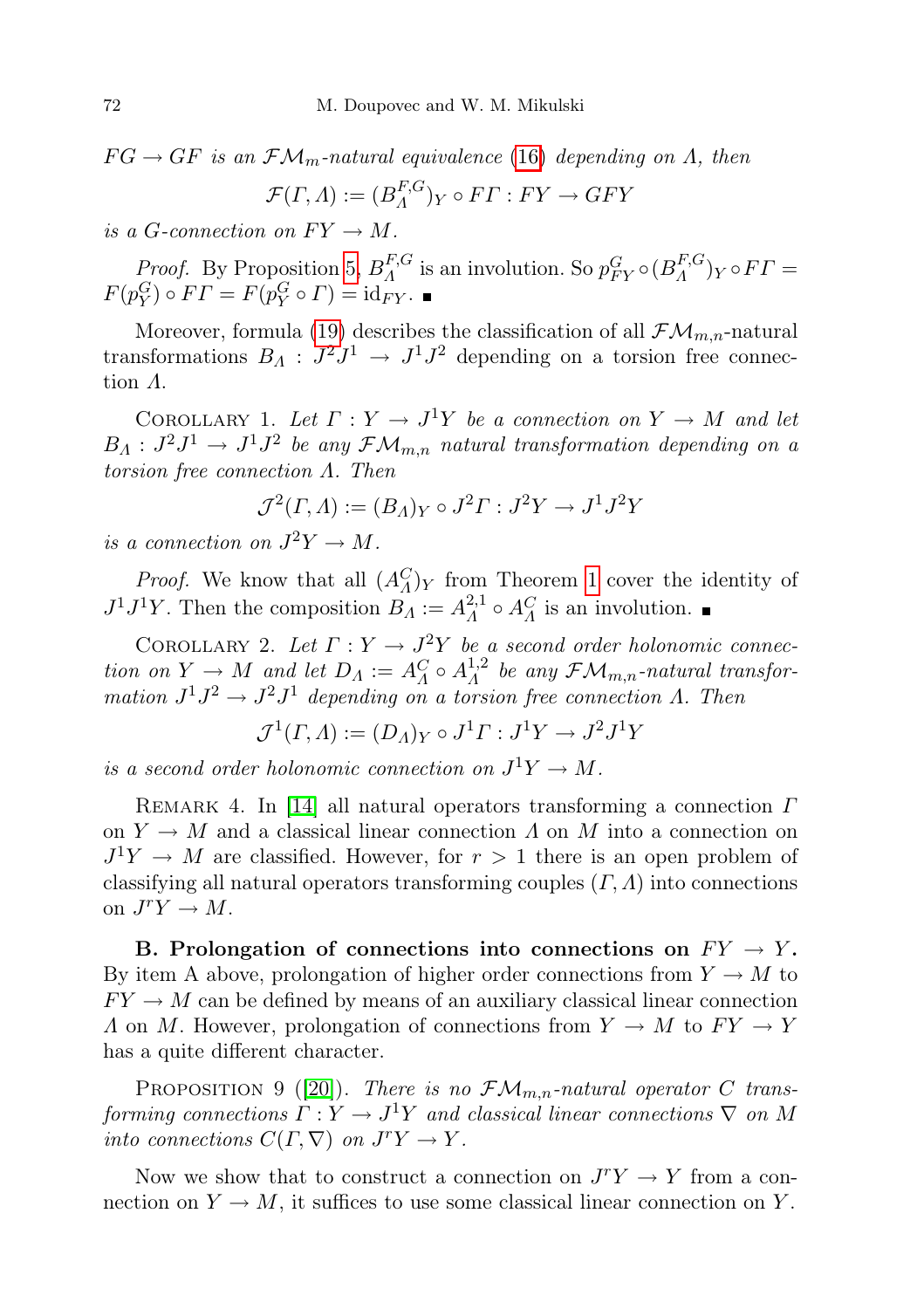$FG \rightarrow GF$  is an  $\mathcal{FM}_m$ -natural equivalence [\(16\)](#page-8-1) depending on  $\Lambda$ , then

$$
\mathcal{F}(\Gamma, \Lambda) := (B_{\Lambda}^{F, G})_Y \circ FT : FY \to GFY
$$

is a G-connection on  $FY \to M$ .

*Proof.* By Proposition [5,](#page-8-2)  $B_A^{F,G}$  ${}_{A}^{F,G}$  is an involution. So  $p_{FY}^G \circ (B_A^{F,G})$  $\binom{F,\mathbf{G}}{A}Y \circ FT =$  $F(p_Y^G) \circ FT = F(p_Y^G \circ T) = id_{FY}.$ 

Moreover, formula [\(19\)](#page-10-3) describes the classification of all  $\mathcal{FM}_{m,n}$ -natural transformations  $B_A: J^2J^1 \to J^1J^2$  depending on a torsion free connection Λ.

COROLLARY 1. Let  $\Gamma: Y \to J^1Y$  be a connection on  $Y \to M$  and let  $B_A: J^2J^1 \rightarrow J^1J^2$  be any  $\mathcal{FM}_{m,n}$  natural transformation depending on a torsion free connection Λ. Then

$$
\mathcal{J}^2(\Gamma,\Lambda) := (B_{\Lambda})_Y \circ J^2\Gamma : J^2Y \to J^1J^2Y
$$

is a connection on  $J^2Y \to M$ .

*Proof.* We know that all  $(A_{\Lambda}^C)$  from Theorem [1](#page-9-0) cover the identity of  $J^1J^1Y$ . Then the composition  $B<sub>A</sub> := A<sub>A</sub><sup>2,1</sup>$  $^{2,1}_{A} \circ A^{C}_{A}$  is an involution.

COROLLARY 2. Let  $\Gamma: Y \to J^2Y$  be a second order holonomic connection on  $Y \to M$  and let  $D_A := A_A^C \circ A_A^{1,2}$  $\Lambda^{1,2}_\Lambda$  be any  $\mathcal{FM}_{m,n}$ -natural transformation  $J^1J^2 \rightarrow J^2J^1$  depending on a torsion free connection  $\Lambda$ . Then

$$
\mathcal{J}^1(\Gamma, \varLambda) := (D_\varLambda)_Y \circ J^1 \varGamma : J^1 Y \to J^2 J^1 Y
$$

is a second order holonomic connection on  $J^1Y \to M$ .

REMARK 4. In [\[14\]](#page-20-1) all natural operators transforming a connection  $\Gamma$ on  $Y \to M$  and a classical linear connection  $\Lambda$  on  $M$  into a connection on  $J^1Y \rightarrow M$  are classified. However, for  $r > 1$  there is an open problem of classifying all natural operators transforming couples  $(\Gamma, \Lambda)$  into connections on  $J^r Y \to M$ .

B. Prolongation of connections into connections on  $FY \rightarrow Y$ . By item A above, prolongation of higher order connections from  $Y \to M$  to  $FY \rightarrow M$  can be defined by means of an auxiliary classical linear connection A on M. However, prolongation of connections from  $Y \to M$  to  $FY \to Y$ has a quite different character.

<span id="page-17-0"></span>PROPOSITION 9 ([\[20\]](#page-20-11)). There is no  $\mathcal{FM}_{m,n}$ -natural operator C transforming connections  $\Gamma: Y \to J^1Y$  and classical linear connections  $\nabla$  on M into connections  $C(\Gamma, \nabla)$  on  $J^{r}Y \to Y$ .

<span id="page-17-1"></span>Now we show that to construct a connection on  $J^{r}Y \rightarrow Y$  from a connection on  $Y \to M$ , it suffices to use some classical linear connection on Y.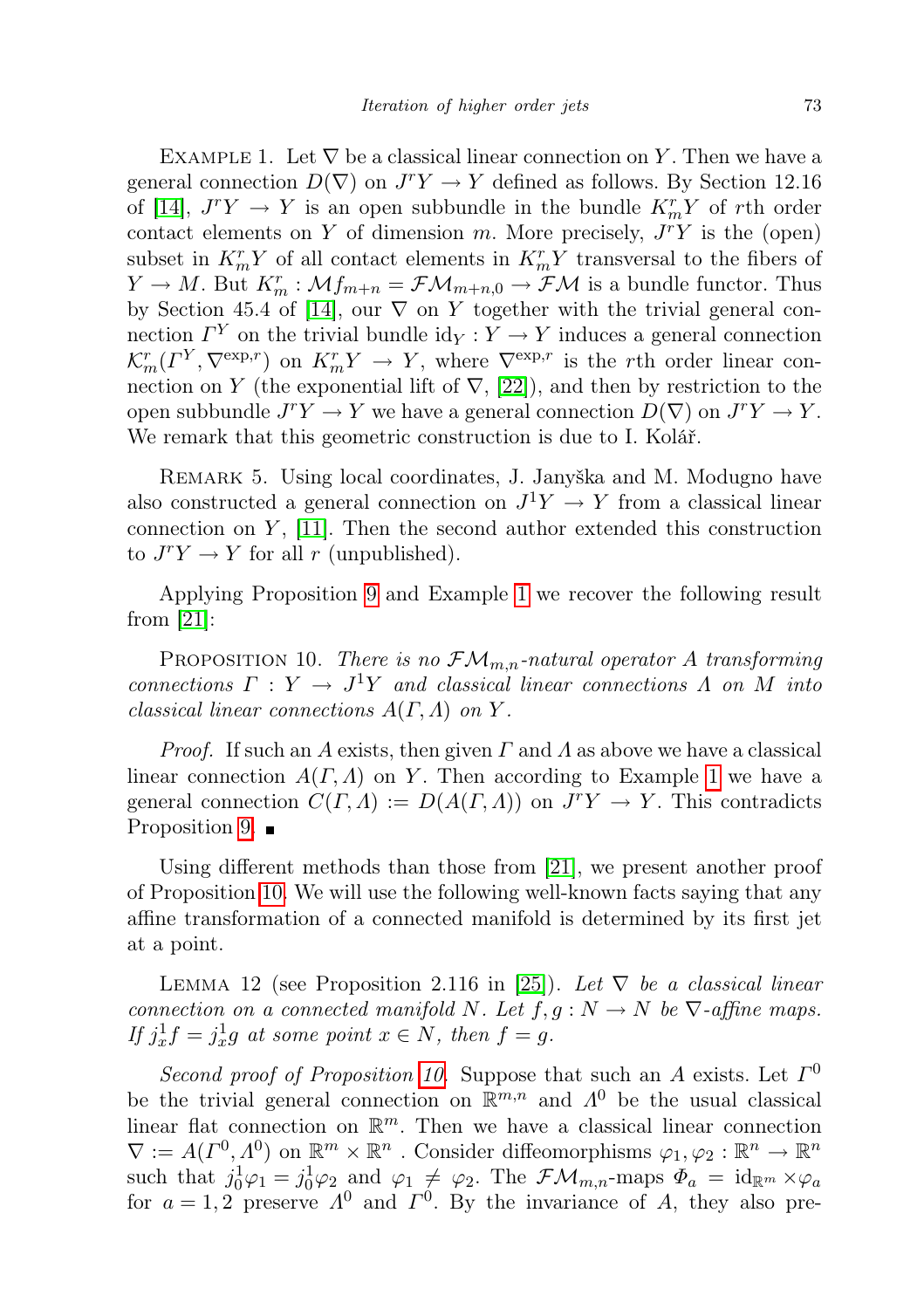EXAMPLE 1. Let  $\nabla$  be a classical linear connection on Y. Then we have a general connection  $D(\nabla)$  on  $J^r Y \to Y$  defined as follows. By Section 12.16 of [\[14\]](#page-20-1),  $J^{r}Y \rightarrow Y$  is an open subbundle in the bundle  $K_{m}^{r}Y$  of rth order contact elements on Y of dimension m. More precisely,  $J<sup>r</sup>Y$  is the (open) subset in  $K_m^r Y$  of all contact elements in  $K_m^r Y$  transversal to the fibers of  $Y \to M$ . But  $K_m^r : \mathcal{M}_{m+n} = \mathcal{F}\mathcal{M}_{m+n,0} \to \mathcal{F}\mathcal{M}$  is a bundle functor. Thus by Section 45.4 of [\[14\]](#page-20-1), our  $\nabla$  on Y together with the trivial general connection  $\Gamma^{Y}$  on the trivial bundle  $\mathrm{id}_{Y}: Y \to Y$  induces a general connection  $\mathcal{K}_m^r(\Gamma^Y, \nabla^{\exp,r})$  on  $K_m^r Y \to Y$ , where  $\nabla^{\exp,r}$  is the rth order linear connection on Y (the exponential lift of  $\nabla$ , [\[22\]](#page-20-14)), and then by restriction to the open subbundle  $J^{r}Y \to Y$  we have a general connection  $D(\nabla)$  on  $J^{r}Y \to Y$ . We remark that this geometric construction is due to I. Kolář.

REMARK 5. Using local coordinates, J. Janyška and M. Modugno have also constructed a general connection on  $J^1Y \to Y$  from a classical linear connection on  $Y$ , [\[11\]](#page-19-10). Then the second author extended this construction to  $J^r Y \to Y$  for all r (unpublished).

Applying Proposition [9](#page-17-0) and Example [1](#page-17-1) we recover the following result from  $|21|$ :

<span id="page-18-0"></span>PROPOSITION 10. There is no  $\mathcal{FM}_{m,n}$ -natural operator A transforming connections  $\Gamma: Y \to J^1Y$  and classical linear connections  $\Lambda$  on  $M$  into classical linear connections  $A(\Gamma, \Lambda)$  on Y.

*Proof.* If such an A exists, then given  $\Gamma$  and A as above we have a classical linear connection  $A(\Gamma, \Lambda)$  on Y. Then according to Example [1](#page-17-1) we have a general connection  $C(\Gamma, \Lambda) := D(A(\Gamma, \Lambda))$  on  $J^r Y \to Y$ . This contradicts Proposition [9.](#page-17-0)  $\blacksquare$ 

Using different methods than those from [\[21\]](#page-20-15), we present another proof of Proposition [10.](#page-18-0) We will use the following well-known facts saying that any affine transformation of a connected manifold is determined by its first jet at a point.

<span id="page-18-1"></span>LEMMA 12 (see Proposition 2.116 in [\[25\]](#page-20-16)). Let  $\nabla$  be a classical linear connection on a connected manifold N. Let  $f, g: N \to N$  be  $\nabla$ -affine maps. If  $j_x^1 f = j_x^1 g$  at some point  $x \in N$ , then  $f = g$ .

Second proof of Proposition [10.](#page-18-0) Suppose that such an A exists. Let  $\Gamma^0$ be the trivial general connection on  $\mathbb{R}^{m,n}$  and  $\Lambda^0$  be the usual classical linear flat connection on  $\mathbb{R}^m$ . Then we have a classical linear connection  $\nabla := A(\Gamma^0, \Lambda^0)$  on  $\mathbb{R}^m \times \mathbb{R}^n$ . Consider diffeomorphisms  $\varphi_1, \varphi_2 : \mathbb{R}^n \to \mathbb{R}^n$ such that  $j_0^1 \varphi_1 = j_0^1 \varphi_2$  and  $\varphi_1 \neq \varphi_2$ . The  $\mathcal{FM}_{m,n}$ -maps  $\Phi_a = \text{id}_{\mathbb{R}^m} \times \varphi_a$ for  $a = 1, 2$  preserve  $\Lambda^0$  and  $\Lambda^0$ . By the invariance of A, they also pre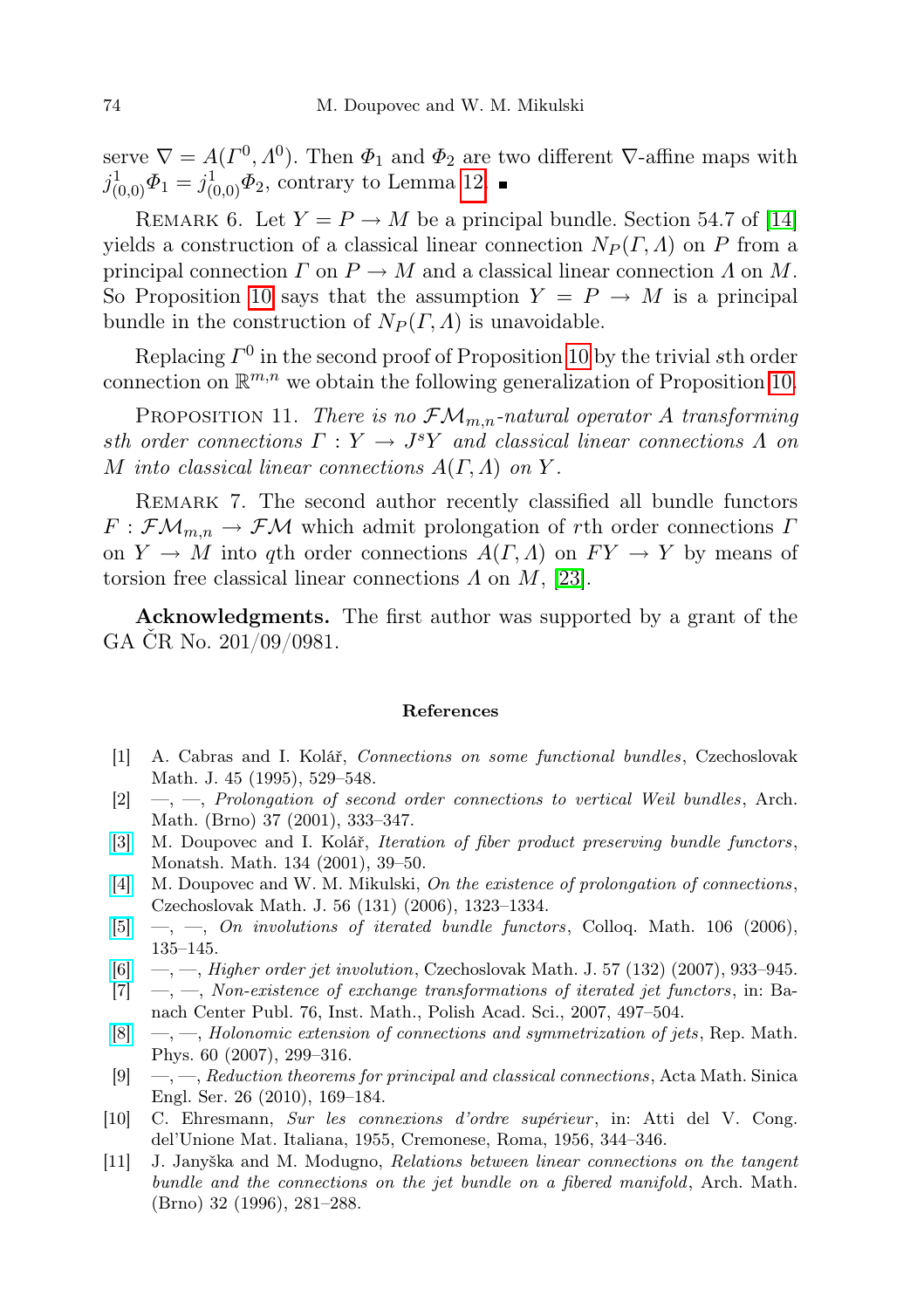serve  $\nabla = A(\Gamma^0, \Lambda^0)$ . Then  $\Phi_1$  and  $\Phi_2$  are two different  $\nabla$ -affine maps with  $j_{(0,0)}^1 \Phi_1 = j_{(0,0)}^1 \Phi_2$ , contrary to Lemma [12.](#page-18-1)

REMARK 6. Let  $Y = P \rightarrow M$  be a principal bundle. Section 54.7 of [\[14\]](#page-20-1) yields a construction of a classical linear connection  $N_P(\Gamma,\Lambda)$  on P from a principal connection  $\Gamma$  on  $P \to M$  and a classical linear connection  $\Lambda$  on  $M$ . So Proposition [10](#page-18-0) says that the assumption  $Y = P \rightarrow M$  is a principal bundle in the construction of  $N_P(\Gamma,\Lambda)$  is unavoidable.

Replacing  $\Gamma^0$  in the second proof of Proposition [10](#page-18-0) by the trivial sth order connection on  $\mathbb{R}^{m,n}$  we obtain the following generalization of Proposition [10.](#page-18-0)

PROPOSITION 11. There is no  $\mathcal{FM}_{m,n}$ -natural operator A transforming sth order connections  $\Gamma: Y \to J^s Y$  and classical linear connections  $\Lambda$  on M into classical linear connections  $A(\Gamma, \Lambda)$  on Y.

Remark 7. The second author recently classified all bundle functors  $F : \mathcal{F}\mathcal{M}_{m,n} \to \mathcal{F}\mathcal{M}$  which admit prolongation of rth order connections  $\Gamma$ on  $Y \to M$  into qth order connections  $A(\Gamma, \Lambda)$  on  $FY \to Y$  by means of torsion free classical linear connections  $\Lambda$  on  $M$ , [\[23\]](#page-20-12).

Acknowledgments. The first author was supported by a grant of the GA ČR No. 201/09/0981.

## References

- <span id="page-19-5"></span>[1] A. Cabras and I. Kolář, Connections on some functional bundles, Czechoslovak Math. J. 45 (1995), 529–548.
- <span id="page-19-6"></span>[2] —, —, Prolongation of second order connections to vertical Weil bundles, Arch. Math. (Brno) 37 (2001), 333–347.
- <span id="page-19-2"></span>[\[3\]](http://dx.doi.org/10.1007/s006050170010) M. Doupovec and I. Kolář, Iteration of fiber product preserving bundle functors, Monatsh. Math. 134 (2001), 39–50.
- <span id="page-19-8"></span>[\[4\]](http://dx.doi.org/10.1007/s10587-006-0096-3) M. Doupovec and W. M. Mikulski, On the existence of prolongation of connections, Czechoslovak Math. J. 56 (131) (2006), 1323–1334.
- <span id="page-19-9"></span> $[5] \quad [5] \quad -$ ,  $\quad$ ,  $\quad$ ,  $\quad$  involutions of iterated bundle functors, Colloq. Math. 106 (2006), 135–145.
- <span id="page-19-3"></span> $[6] \quad -, [6] \quad -,-$ , Higher order jet involution, Czechoslovak Math. J. 57 (132) (2007), 933-945.
- <span id="page-19-1"></span> $[7] \quad -$ ,  $\quad$ , Non-existence of exchange transformations of iterated jet functors, in: Banach Center Publ. 76, Inst. Math., Polish Acad. Sci., 2007, 497–504.
- <span id="page-19-0"></span> $[8] \quad -, [8] \quad -,-$ , Holonomic extension of connections and symmetrization of jets, Rep. Math. Phys. 60 (2007), 299–316.
- <span id="page-19-7"></span> $[9] \quad -,-$ , Reduction theorems for principal and classical connections, Acta Math. Sinica Engl. Ser. 26 (2010), 169–184.
- <span id="page-19-4"></span>[10] C. Ehresmann, Sur les connexions d'ordre supérieur , in: Atti del V. Cong. del'Unione Mat. Italiana, 1955, Cremonese, Roma, 1956, 344–346.
- <span id="page-19-10"></span>[11] J. Janyška and M. Modugno, Relations between linear connections on the tangent bundle and the connections on the jet bundle on a fibered manifold, Arch. Math. (Brno) 32 (1996), 281–288.